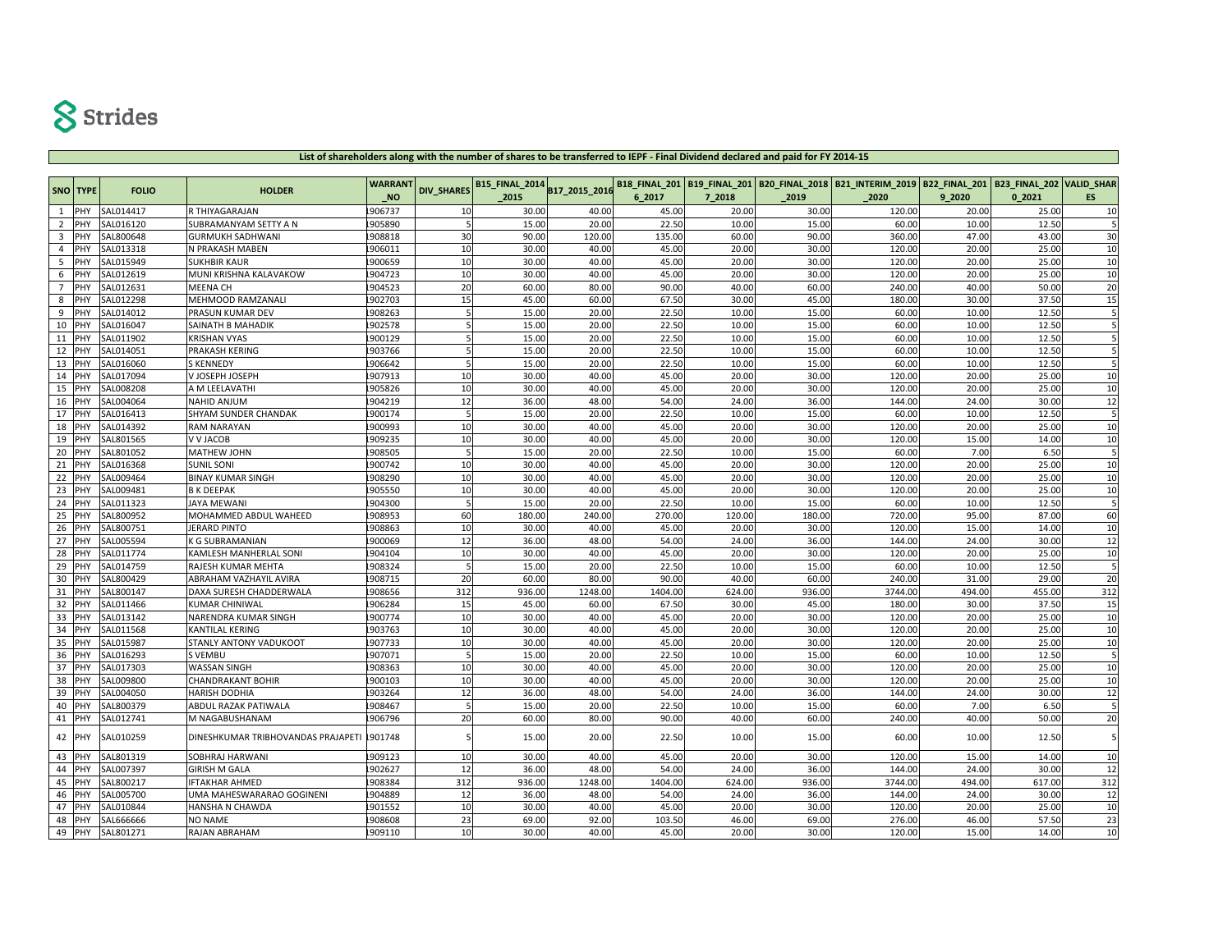|                |          |              | Fire or prime choing mong with the humber or phares to be transferred to left. This is primeira accured and paid for FT E014. To |                |                   |                                      |         |         |        |        |                                                                                                            |        |        |     |
|----------------|----------|--------------|----------------------------------------------------------------------------------------------------------------------------------|----------------|-------------------|--------------------------------------|---------|---------|--------|--------|------------------------------------------------------------------------------------------------------------|--------|--------|-----|
|                |          |              |                                                                                                                                  | <b>WARRANT</b> |                   |                                      |         |         |        |        | B18_FINAL_201  B19_FINAL_201  B20_FINAL_2018  B21_INTERIM_2019   B22_FINAL_201   B23_FINAL_202  VALID_SHAR |        |        |     |
|                | SNO TYPE | <b>FOLIO</b> | <b>HOLDER</b>                                                                                                                    | <b>NO</b>      | <b>DIV SHARES</b> | B15_FINAL_2014 B17_2015_2016<br>2015 |         | 6 2017  | 7 2018 | 2019   | 2020                                                                                                       | 9 2020 | 02021  | ES. |
|                | PHY      | SAL014417    | R THIYAGARAJAN                                                                                                                   | 906737         | 10                | 30.00                                | 40.00   | 45.00   | 20.00  | 30.00  | 120.00                                                                                                     | 20.00  | 25.00  | 10  |
| 2              | PHY      | SAL016120    | SUBRAMANYAM SETTY A N                                                                                                            | 905890         | 5                 | 15.00                                | 20.00   | 22.50   | 10.00  | 15.00  | 60.00                                                                                                      | 10.00  | 12.50  |     |
| 3              | PHY      | SAL800648    | <b>GURMUKH SADHWANI</b>                                                                                                          | 908818         | 30                | 90.00                                | 120.00  | 135.00  | 60.00  | 90.00  | 360.00                                                                                                     | 47.00  | 43.00  | 30  |
| $\overline{4}$ | PHY      | SAL013318    | N PRAKASH MABEN                                                                                                                  | 906011         | 10                | 30.00                                | 40.00   | 45.00   | 20.00  | 30.00  | 120.00                                                                                                     | 20.00  | 25.00  | 10  |
| 5              | PHY      | SAL015949    | <b>SUKHBIR KAUR</b>                                                                                                              | 900659         | 10                | 30.00                                | 40.00   | 45.00   | 20.00  | 30.00  | 120.00                                                                                                     | 20.00  | 25.00  | 10  |
| 6              | PHY      | SAL012619    | MUNI KRISHNA KALAVAKOW                                                                                                           | 904723         | 10                | 30.00                                | 40.00   | 45.00   | 20.00  | 30.00  | 120.00                                                                                                     | 20.00  | 25.00  | 10  |
| $\overline{7}$ | PHY      | SAL012631    | <b>MEENA CH</b>                                                                                                                  | 904523         | 20                | 60.00                                | 80.00   | 90.00   | 40.00  | 60.00  | 240.00                                                                                                     | 40.00  | 50.00  | 20  |
| 8              | PHY      | SAL012298    | MEHMOOD RAMZANALI                                                                                                                | 902703         | 15                | 45.00                                | 60.00   | 67.50   | 30.00  | 45.00  | 180.00                                                                                                     | 30.00  | 37.50  | 15  |
| 9              | PHY      | SAL014012    | PRASUN KUMAR DEV                                                                                                                 | 908263         |                   | 15.00                                | 20.00   | 22.50   | 10.00  | 15.00  | 60.00                                                                                                      | 10.00  | 12.50  |     |
| 10             | PHY      | SAL016047    | SAINATH B MAHADIK                                                                                                                | 902578         |                   | 15.00                                | 20.00   | 22.50   | 10.00  | 15.00  | 60.00                                                                                                      | 10.00  | 12.50  |     |
| 11             | PHY      | SAL011902    | <b>KRISHAN VYAS</b>                                                                                                              | 900129         |                   | 15.00                                | 20.00   | 22.50   | 10.00  | 15.00  | 60.00                                                                                                      | 10.00  | 12.50  |     |
| 12             | PHY      | SAL014051    | <b>PRAKASH KERING</b>                                                                                                            | 903766         |                   | 15.00                                | 20.00   | 22.50   | 10.00  | 15.00  | 60.00                                                                                                      | 10.00  | 12.50  |     |
| 13             | PHY      | SAL016060    | <b>S KENNEDY</b>                                                                                                                 | 906642         |                   | 15.00                                | 20.00   | 22.50   | 10.00  | 15.00  | 60.00                                                                                                      | 10.00  | 12.50  |     |
| 14             | PHY      | SAL017094    | V JOSEPH JOSEPH                                                                                                                  | 907913         | 10                | 30.00                                | 40.00   | 45.00   | 20.00  | 30.00  | 120.00                                                                                                     | 20.00  | 25.00  | 10  |
| 15             | PHY      | SAL008208    | A M LEELAVATHI                                                                                                                   | 905826         | 10                | 30.00                                | 40.00   | 45.00   | 20.00  | 30.00  | 120.00                                                                                                     | 20.00  | 25.00  | 10  |
| 16             | PHY      | SAL004064    | <b>NAHID ANJUM</b>                                                                                                               | 904219         | 12                | 36.00                                | 48.00   | 54.00   | 24.00  | 36.00  | 144.00                                                                                                     | 24.00  | 30.00  | 12  |
| 17             | PHY      | SAL016413    | SHYAM SUNDER CHANDAK                                                                                                             | 900174         | 5                 | 15.00                                | 20.00   | 22.50   | 10.00  | 15.00  | 60.00                                                                                                      | 10.00  | 12.50  |     |
| 18             | PHY      | SAL014392    |                                                                                                                                  | 900993         | 10                | 30.00                                | 40.00   | 45.00   | 20.00  | 30.00  | 120.00                                                                                                     | 20.00  | 25.00  | 10  |
| 19             | PHY      | SAL801565    | <b>RAM NARAYAN</b><br>V V JACOB                                                                                                  | 909235         | 10                | 30.00                                | 40.00   | 45.00   | 20.00  | 30.00  | 120.00                                                                                                     | 15.00  | 14.00  | 10  |
|                |          |              |                                                                                                                                  |                |                   |                                      |         |         |        |        |                                                                                                            |        |        |     |
| 20             | PHY      | SAL801052    | MATHEW JOHN                                                                                                                      | 908505         | 5                 | 15.00                                | 20.00   | 22.50   | 10.00  | 15.00  | 60.00                                                                                                      | 7.00   | 6.50   |     |
| 21             | PHY      | SAL016368    | <b>SUNIL SONI</b>                                                                                                                | 900742         | 10                | 30.00                                | 40.00   | 45.00   | 20.00  | 30.00  | 120.00                                                                                                     | 20.00  | 25.00  | 10  |
| 22             | PHY      | SAL009464    | <b>BINAY KUMAR SINGH</b>                                                                                                         | 908290         | 10                | 30.00                                | 40.00   | 45.00   | 20.00  | 30.00  | 120.00                                                                                                     | 20.00  | 25.00  | 10  |
| 23             | PHY      | SAL009481    | <b>B K DEEPAK</b>                                                                                                                | 905550         | 10                | 30.00                                | 40.00   | 45.00   | 20.00  | 30.00  | 120.00                                                                                                     | 20.00  | 25.00  | 10  |
| 24             | PHY      | SAL011323    | <b>JAYA MEWANI</b>                                                                                                               | 904300         |                   | 15.00                                | 20.00   | 22.50   | 10.00  | 15.00  | 60.00                                                                                                      | 10.00  | 12.50  |     |
| 25             | PHY      | SAL800952    | MOHAMMED ABDUL WAHEED                                                                                                            | 908953         | 60                | 180.00                               | 240.00  | 270.00  | 120.00 | 180.00 | 720.00                                                                                                     | 95.00  | 87.00  | 60  |
| 26             | PHY      | SAL800751    | <b>JERARD PINTO</b>                                                                                                              | 908863         | 10                | 30.00                                | 40.00   | 45.00   | 20.00  | 30.00  | 120.00                                                                                                     | 15.00  | 14.00  | 10  |
| 27             | PHY      | SAL005594    | <b>K G SUBRAMANIAN</b>                                                                                                           | 900069         | 12                | 36.00                                | 48.00   | 54.00   | 24.00  | 36.00  | 144.00                                                                                                     | 24.00  | 30.00  | 12  |
| 28             | PHY      | SAL011774    | KAMLESH MANHERLAL SONI                                                                                                           | 904104         | 10                | 30.00                                | 40.00   | 45.00   | 20.00  | 30.00  | 120.00                                                                                                     | 20.00  | 25.00  | 10  |
| 29             | PHY      | SAL014759    | RAJESH KUMAR MEHTA                                                                                                               | 908324         |                   | 15.00                                | 20.00   | 22.50   | 10.00  | 15.00  | 60.00                                                                                                      | 10.00  | 12.50  |     |
| 30             | PHY      | SAL800429    | ABRAHAM VAZHAYIL AVIRA                                                                                                           | 908715         | 20                | 60.00                                | 80.00   | 90.00   | 40.00  | 60.00  | 240.00                                                                                                     | 31.00  | 29.00  | 20  |
| 31             | PHY      | SAL800147    | DAXA SURESH CHADDERWALA                                                                                                          | 908656         | 312               | 936.00                               | 1248.00 | 1404.00 | 624.00 | 936.00 | 3744.00                                                                                                    | 494.00 | 455.00 | 312 |
| 32             | PHY      | SAL011466    | <b>KUMAR CHINIWAL</b>                                                                                                            | 906284         | 15                | 45.00                                | 60.00   | 67.50   | 30.00  | 45.00  | 180.00                                                                                                     | 30.00  | 37.50  | 15  |
| 33             | PHY      | SAL013142    | NARENDRA KUMAR SINGH                                                                                                             | 900774         | 10                | 30.00                                | 40.00   | 45.00   | 20.00  | 30.00  | 120.00                                                                                                     | 20.00  | 25.00  | 10  |
| 34             | PHY      | SAL011568    | <b>KANTILAL KERING</b>                                                                                                           | 903763         | 10                | 30.00                                | 40.00   | 45.00   | 20.00  | 30.00  | 120.00                                                                                                     | 20.00  | 25.00  | 10  |
| 35             | PHY      | SAL015987    | STANLY ANTONY VADUKOOT                                                                                                           | 907733         | 10                | 30.00                                | 40.00   | 45.00   | 20.00  | 30.00  | 120.00                                                                                                     | 20.00  | 25.00  | 10  |
| 36             | PHY      | SAL016293    | <b>S VEMBU</b>                                                                                                                   | 907071         | 5                 | 15.00                                | 20.00   | 22.50   | 10.00  | 15.00  | 60.00                                                                                                      | 10.00  | 12.50  |     |
| 37             | PHY      | SAL017303    | <b>WASSAN SINGH</b>                                                                                                              | 908363         | 10                | 30.00                                | 40.00   | 45.00   | 20.00  | 30.00  | 120.00                                                                                                     | 20.00  | 25.00  | 10  |
| 38             | PHY      | SAL009800    | <b>CHANDRAKANT BOHIR</b>                                                                                                         | 900103         | 10                | 30.00                                | 40.00   | 45.00   | 20.00  | 30.00  | 120.00                                                                                                     | 20.00  | 25.00  | 10  |
| 39             | PHY      | SAL004050    | <b>HARISH DODHIA</b>                                                                                                             | 903264         | 12                | 36.00                                | 48.00   | 54.0    | 24.00  | 36.00  | 144.00                                                                                                     | 24.00  | 30.00  | 12  |
| 40             | PHY      | SAL800379    | ABDUL RAZAK PATIWALA                                                                                                             | 908467         |                   | 15.00                                | 20.00   | 22.50   | 10.00  | 15.00  | 60.00                                                                                                      | 7.00   | 6.50   |     |
| 41             | PHY      | SAL012741    | M NAGABUSHANAM                                                                                                                   | 906796         | 20                | 60.00                                | 80.00   | 90.00   | 40.00  | 60.00  | 240.00                                                                                                     | 40.00  | 50.00  | 20  |
| 42             | PHY      | SAL010259    | DINESHKUMAR TRIBHOVANDAS PRAJAPETI                                                                                               | 901748         |                   | 15.00                                | 20.00   | 22.50   | 10.00  | 15.00  | 60.00                                                                                                      | 10.00  | 12.50  |     |
| 43             | PHY      | SAL801319    | SOBHRAJ HARWANI                                                                                                                  | 909123         | 10                | 30.00                                | 40.00   | 45.00   | 20.00  | 30.00  | 120.00                                                                                                     | 15.00  | 14.00  | 10  |
| 44             | PHY      | SAL007397    | <b>GIRISH M GALA</b>                                                                                                             | 902627         | 12                | 36.00                                | 48.00   | 54.00   | 24.00  | 36.00  | 144.00                                                                                                     | 24.00  | 30.00  | 12  |
| 45             | PHY      | SAL800217    | <b>IFTAKHAR AHMED</b>                                                                                                            | 908384         | 312               | 936.00                               | 1248.00 | 1404.00 | 624.00 | 936.00 | 3744.00                                                                                                    | 494.00 | 617.00 | 312 |
| 46             | PHY      | SAL005700    | UMA MAHESWARARAO GOGINENI                                                                                                        | 904889         | 12                | 36.00                                | 48.00   | 54.00   | 24.00  | 36.00  | 144.00                                                                                                     | 24.00  | 30.00  | 12  |
| 47             | PHY      | SAL010844    | HANSHA N CHAWDA                                                                                                                  | 901552         | 10                | 30.00                                | 40.00   | 45.00   | 20.00  | 30.0   | 120.00                                                                                                     | 20.00  | 25.00  | 10  |
| 48             | PHY      | SAL666666    | <b>NO NAME</b>                                                                                                                   | 908608         | 23                | 69.00                                | 92.00   | 103.50  | 46.00  | 69.00  | 276.00                                                                                                     | 46.00  | 57.50  | 23  |
| 49             | PHY      | SAL801271    | RAJAN ABRAHAM                                                                                                                    | 909110         | 10                | 30.00                                | 40.00   | 45.00   | 20.00  | 30.00  | 120.00                                                                                                     | 15.00  | 14.00  | 10  |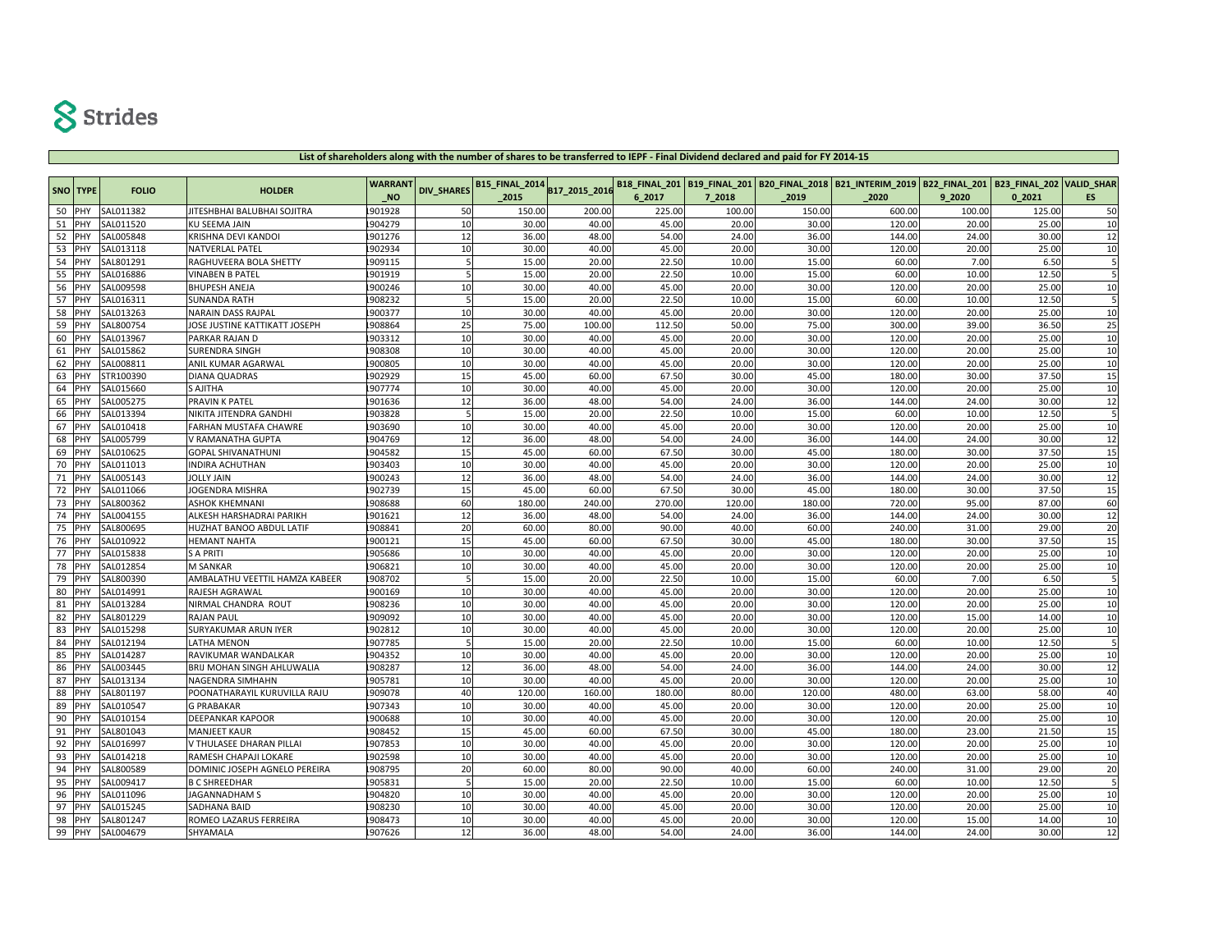|    |          |              |                                    |                |                   |                                      |        |        |        | List of shareholders along with the humber of shares to be transferred to leFF - Final Dividend declared and paid for FT 2014-15 |                                                                                                                |        |        |     |
|----|----------|--------------|------------------------------------|----------------|-------------------|--------------------------------------|--------|--------|--------|----------------------------------------------------------------------------------------------------------------------------------|----------------------------------------------------------------------------------------------------------------|--------|--------|-----|
|    |          |              |                                    | <b>WARRANT</b> |                   |                                      |        |        |        |                                                                                                                                  | B18_FINAL_201   B19_FINAL_201   B20_FINAL_2018   B21_INTERIM_2019   B22_FINAL_201   B23_FINAL_202   VALID_SHAR |        |        |     |
|    | SNO TYPE | <b>FOLIO</b> | <b>HOLDER</b>                      | <b>NO</b>      | <b>DIV SHARES</b> | B15_FINAL_2014 B17_2015_2016<br>2015 |        | 6 2017 | 7 2018 | 2019                                                                                                                             | 2020                                                                                                           | 9_2020 | 02021  | ES. |
|    | 50 PHY   | SAL011382    | <b>IITESHBHAI BALUBHAI SOJITRA</b> | 901928         | 50                | 150.00                               | 200.00 | 225.00 | 100.00 | 150.00                                                                                                                           | 600.00                                                                                                         | 100.00 | 125.00 | 50  |
| 51 | PHY      | SAL011520    | KU SEEMA JAIN                      | 904279         | 10                | 30.00                                | 40.00  | 45.00  | 20.00  | 30.00                                                                                                                            | 120.00                                                                                                         | 20.00  | 25.00  | 10  |
| 52 | PHY      | SAL005848    | KRISHNA DEVI KANDOI                | 901276         | 12                | 36.00                                | 48.00  | 54.00  | 24.00  | 36.00                                                                                                                            | 144.00                                                                                                         | 24.00  | 30.00  | 12  |
| 53 | PHY      | SAL013118    | NATVERLAL PATEL                    | 902934         | 10                | 30.00                                | 40.00  | 45.00  | 20.00  | 30.00                                                                                                                            | 120.00                                                                                                         | 20.00  | 25.00  | 10  |
|    | 54 PHY   | SAL801291    | RAGHUVEERA BOLA SHETTY             | 909115         | 5                 | 15.00                                | 20.00  | 22.50  | 10.00  | 15.00                                                                                                                            | 60.00                                                                                                          | 7.00   | 6.50   |     |
| 55 | PHY      | SAL016886    | VINABEN B PATEL                    | 901919         |                   | 15.00                                | 20.00  | 22.50  | 10.00  | 15.00                                                                                                                            | 60.00                                                                                                          | 10.00  | 12.50  |     |
| 56 | PHY      | SAL009598    | <b>BHUPESH ANEJA</b>               | 900246         | 10                | 30.00                                | 40.00  | 45.00  | 20.00  | 30.00                                                                                                                            | 120.00                                                                                                         | 20.00  | 25.00  | 10  |
| 57 | PHY      | SAL016311    | SUNANDA RATH                       | 908232         | -5                | 15.00                                | 20.00  | 22.50  | 10.00  | 15.00                                                                                                                            | 60.00                                                                                                          | 10.00  | 12.50  |     |
|    | 58 PHY   | SAL013263    | NARAIN DASS RAJPAL                 | 900377         | 10                | 30.00                                | 40.00  | 45.00  | 20.00  | 30.00                                                                                                                            | 120.00                                                                                                         | 20.00  | 25.00  | 10  |
| 59 | PHY      | SAL800754    | JOSE JUSTINE KATTIKATT JOSEPH      | 908864         | 25                | 75.00                                | 100.00 | 112.50 | 50.00  | 75.00                                                                                                                            | 300.00                                                                                                         | 39.00  | 36.50  | 25  |
| 60 | PHY      | SAL013967    | PARKAR RAJAN D                     | 903312         | 10                | 30.00                                | 40.00  | 45.00  | 20.00  | 30.00                                                                                                                            | 120.00                                                                                                         | 20.00  | 25.00  | 10  |
| 61 | PHY      | SAL015862    | SURENDRA SINGH                     | 908308         | 10                | 30.00                                | 40.00  | 45.00  | 20.00  | 30.00                                                                                                                            | 120.00                                                                                                         | 20.00  | 25.00  | 10  |
| 62 | PHY      | SAL008811    | ANIL KUMAR AGARWAL                 | 900805         | 10                | 30.00                                | 40.00  | 45.00  | 20.00  | 30.00                                                                                                                            | 120.00                                                                                                         | 20.00  | 25.00  | 10  |
|    | 63 PHY   | STR100390    | DIANA QUADRAS                      | 902929         | 15                | 45.00                                | 60.00  | 67.50  | 30.00  | 45.00                                                                                                                            | 180.00                                                                                                         | 30.00  | 37.50  | 15  |
| 64 | PHY      | SAL015660    | S AJITHA                           | 907774         | 10                | 30.00                                | 40.00  | 45.00  | 20.00  | 30.00                                                                                                                            | 120.00                                                                                                         | 20.00  | 25.00  | 10  |
| 65 | PHY      | SAL005275    | PRAVIN K PATEL                     | 901636         | 12                | 36.00                                | 48.00  | 54.00  | 24.00  | 36.00                                                                                                                            | 144.00                                                                                                         | 24.00  | 30.00  | 12  |
| 66 | PHY      | SAL013394    | NIKITA JITENDRA GANDHI             | 903828         | 5                 | 15.00                                | 20.00  | 22.50  | 10.00  | 15.00                                                                                                                            | 60.00                                                                                                          | 10.00  | 12.50  |     |
| 67 | PHY      | SAL010418    | FARHAN MUSTAFA CHAWRE              | 903690         | 10                | 30.00                                | 40.00  | 45.00  | 20.00  | 30.00                                                                                                                            | 120.00                                                                                                         | 20.00  | 25.00  | 10  |
| 68 | PHY      | SAL005799    | V RAMANATHA GUPTA                  | 904769         | 12                | 36.00                                | 48.00  | 54.00  | 24.00  | 36.00                                                                                                                            | 144.00                                                                                                         | 24.00  | 30.00  | 12  |
| 69 | PHY      | SAL010625    | <b>GOPAL SHIVANATHUN</b>           | 904582         | 15                | 45.00                                | 60.00  | 67.50  | 30.00  | 45.00                                                                                                                            | 180.00                                                                                                         | 30.00  | 37.50  | 15  |
| 70 | PHY      | SAL011013    | INDIRA ACHUTHAN                    | 903403         | 10                | 30.00                                | 40.00  | 45.00  | 20.00  | 30.00                                                                                                                            | 120.00                                                                                                         | 20.00  | 25.00  | 10  |
| 71 | PHY      | SAL005143    | JOLLY JAIN                         | 900243         | 12                | 36.00                                | 48.00  | 54.00  | 24.00  | 36.00                                                                                                                            | 144.00                                                                                                         | 24.00  | 30.00  | 12  |
| 72 | PHY      | SAL011066    | JOGENDRA MISHRA                    | 902739         | 15                | 45.00                                | 60.00  | 67.50  | 30.00  | 45.00                                                                                                                            | 180.00                                                                                                         | 30.00  | 37.50  | 15  |
| 73 | PHY      | SAL800362    | <b>ASHOK KHEMNANI</b>              | 908688         | 60                | 180.00                               | 240.00 | 270.00 | 120.00 | 180.00                                                                                                                           | 720.00                                                                                                         | 95.00  | 87.00  | 60  |
| 74 | PHY      | SAL004155    | ALKESH HARSHADRAI PARIKH           | 901621         | 12                | 36.00                                | 48.00  | 54.00  | 24.00  | 36.00                                                                                                                            | 144.00                                                                                                         | 24.00  | 30.00  | 12  |
| 75 | PHY      | SAL800695    | HUZHAT BANOO ABDUL LATIF           | 908841         | 20                | 60.00                                | 80.00  | 90.00  | 40.00  | 60.00                                                                                                                            | 240.00                                                                                                         | 31.00  | 29.00  | 20  |
| 76 | PHY      | SAL010922    | <b>HEMANT NAHTA</b>                | 900121         | 15                | 45.00                                | 60.00  | 67.50  | 30.00  | 45.00                                                                                                                            | 180.00                                                                                                         | 30.00  | 37.50  | 15  |
| 77 | PHY      | SAL015838    | S A PRITI                          | 905686         | 10                | 30.00                                | 40.00  | 45.00  | 20.00  | 30.00                                                                                                                            | 120.00                                                                                                         | 20.00  | 25.00  | 10  |
| 78 | PHY      | SAL012854    | M SANKAR                           | 906821         | 10                | 30.00                                | 40.00  | 45.00  | 20.00  | 30.00                                                                                                                            | 120.00                                                                                                         | 20.00  | 25.00  | 10  |
| 79 | PHY      | SAL800390    | AMBALATHU VEETTIL HAMZA KABEER     | 908702         | 5                 | 15.00                                | 20.00  | 22.50  | 10.00  | 15.00                                                                                                                            | 60.00                                                                                                          | 7.00   | 6.50   |     |
| 80 | PHY      | SAL014991    | RAJESH AGRAWAL                     | 900169         | 10                | 30.00                                | 40.00  | 45.00  | 20.00  | 30.00                                                                                                                            | 120.00                                                                                                         | 20.00  | 25.00  | 10  |
|    | 81 PHY   | SAL013284    | NIRMAL CHANDRA ROUT                | 908236         | 10                | 30.00                                | 40.00  | 45.00  | 20.00  | 30.00                                                                                                                            | 120.00                                                                                                         | 20.00  | 25.00  | 10  |
| 82 | PHY      | SAL801229    | RAJAN PAUL                         | 909092         | 10                | 30.00                                | 40.00  | 45.00  | 20.00  | 30.00                                                                                                                            | 120.00                                                                                                         | 15.00  | 14.00  | 10  |
| 83 | PHY      | SAL015298    | SURYAKUMAR ARUN IYER               | 902812         | 10                | 30.00                                | 40.00  | 45.00  | 20.00  | 30.00                                                                                                                            | 120.00                                                                                                         | 20.00  | 25.00  | 10  |
| 84 | PHY      | SAL012194    | LATHA MENON                        | 907785         | 5                 | 15.00                                | 20.00  | 22.50  | 10.00  | 15.00                                                                                                                            | 60.00                                                                                                          | 10.00  | 12.50  |     |
| 85 | PHY      | SAL014287    | RAVIKUMAR WANDALKAR                | 904352         | 10                | 30.00                                | 40.00  | 45.00  | 20.00  | 30.00                                                                                                                            | 120.00                                                                                                         | 20.00  | 25.00  | 10  |
|    | 86 PHY   | SAL003445    | BRIJ MOHAN SINGH AHLUWALIA         | 908287         | 12                | 36.00                                | 48.00  | 54.00  | 24.00  | 36.00                                                                                                                            | 144.00                                                                                                         | 24.00  | 30.00  | 12  |
| 87 | PHY      | SAL013134    | NAGENDRA SIMHAHN                   | 905781         | 10                | 30.00                                | 40.00  | 45.00  | 20.00  | 30.00                                                                                                                            | 120.00                                                                                                         | 20.00  | 25.00  | 10  |
| 88 | PHY      | SAL801197    | POONATHARAYIL KURUVILLA RAJU       | 909078         | 40                | 120.00                               | 160.00 | 180.00 | 80.00  | 120.00                                                                                                                           | 480.00                                                                                                         | 63.00  | 58.00  | 40  |
| 89 | PHY      | SAL010547    | <b>G PRABAKAR</b>                  | 907343         | 10                | 30.00                                | 40.00  | 45.00  | 20.00  | 30.00                                                                                                                            | 120.00                                                                                                         | 20.00  | 25.00  | 10  |
| 90 | PHY      | SAL010154    | DEEPANKAR KAPOOR                   | 900688         | 10                | 30.00                                | 40.00  | 45.00  | 20.00  | 30.00                                                                                                                            | 120.00                                                                                                         | 20.00  | 25.00  | 10  |
|    | 91 PHY   | SAL801043    | <b>MANJEET KAUR</b>                | 908452         | 15                | 45.00                                | 60.00  | 67.50  | 30.00  | 45.00                                                                                                                            | 180.00                                                                                                         | 23.00  | 21.50  | 15  |
| 92 | PHY      | SAL016997    | V THULASEE DHARAN PILLAI           | 907853         | 10                | 30.00                                | 40.00  | 45.00  | 20.00  | 30.00                                                                                                                            | 120.00                                                                                                         | 20.00  | 25.00  | 10  |
| 93 | PHY      | SAL014218    | RAMESH CHAPAJI LOKARE              | 902598         | 10                | 30.00                                | 40.00  | 45.00  | 20.00  | 30.00                                                                                                                            | 120.00                                                                                                         | 20.00  | 25.00  | 10  |
| 94 | PHY      | SAL800589    | DOMINIC JOSEPH AGNELO PEREIRA      | 908795         | 20                | 60.00                                | 80.00  | 90.00  | 40.00  | 60.00                                                                                                                            | 240.00                                                                                                         | 31.00  | 29.00  | 20  |
| 95 | PHY      | SAL009417    | <b>B C SHREEDHAR</b>               | 905831         | 5                 | 15.00                                | 20.00  | 22.50  | 10.00  | 15.00                                                                                                                            | 60.00                                                                                                          | 10.00  | 12.50  |     |
|    | 96 PHY   | SAL011096    | JAGANNADHAM S                      | 904820         | 10                | 30.00                                | 40.00  | 45.00  | 20.00  | 30.00                                                                                                                            | 120.00                                                                                                         | 20.00  | 25.00  | 10  |
| 97 | PHY      | SAL015245    | SADHANA BAID                       | 908230         | 10                | 30.00                                | 40.00  | 45.00  | 20.00  | 30.00                                                                                                                            | 120.00                                                                                                         | 20.00  | 25.00  | 10  |
| 98 | PHY      | SAL801247    | ROMEO LAZARUS FERREIRA             | 908473         | 10                | 30.00                                | 40.00  | 45.00  | 20.00  | 30.00                                                                                                                            | 120.00                                                                                                         | 15.00  | 14.00  | 10  |
| 99 | PHY      | SAL004679    | SHYAMALA                           | 907626         | 12                | 36.00                                | 48.00  | 54.00  | 24.00  | 36.00                                                                                                                            | 144.00                                                                                                         | 24.00  | 30.00  | 12  |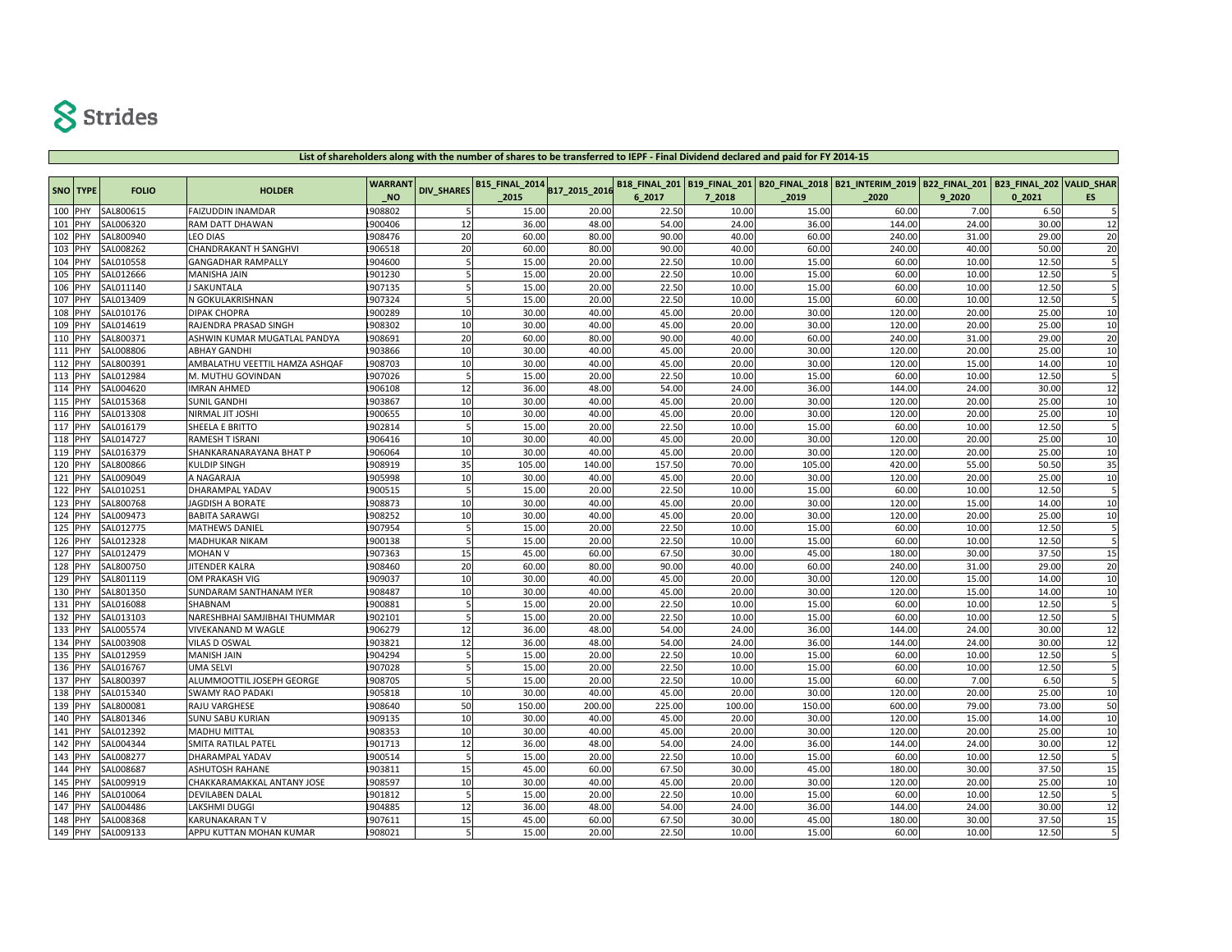|                   |              |                                | <b>WARRANT</b> |                   | B15_FINAL_2014 B17_2015_2016 |        |        |        |        | B18_FINAL_201 B19_FINAL_201 B20_FINAL_2018 B21_INTERIM_2019 B22_FINAL_201 B23_FINAL_202 VALID_SHAR |        |       |    |
|-------------------|--------------|--------------------------------|----------------|-------------------|------------------------------|--------|--------|--------|--------|----------------------------------------------------------------------------------------------------|--------|-------|----|
| SNO TYPE          | <b>FOLIO</b> | <b>HOLDER</b>                  | <b>NO</b>      | <b>DIV SHARES</b> | 2015                         |        | 6 2017 | 7 2018 | 2019   | 2020                                                                                               | 9 2020 | 02021 | ES |
| 100 PHY           | SAL800615    | <b>FAIZUDDIN INAMDAR</b>       | 908802         | 5                 | 15.00                        | 20.00  | 22.50  | 10.00  | 15.00  | 60.00                                                                                              | 7.00   | 6.50  |    |
| 101<br>PHY        | SAL006320    | RAM DATT DHAWAN                | 900406         | 12                | 36.00                        | 48.00  | 54.00  | 24.00  | 36.00  | 144.00                                                                                             | 24.00  | 30.00 | 12 |
| 102<br>PHY        | SAL800940    | <b>LEO DIAS</b>                | 908476         | 20                | 60.00                        | 80.00  | 90.00  | 40.00  | 60.00  | 240.00                                                                                             | 31.00  | 29.00 | 20 |
| 103<br>PHY        | SAL008262    | CHANDRAKANT H SANGHVI          | 906518         | 20                | 60.00                        | 80.00  | 90.00  | 40.00  | 60.00  | 240.00                                                                                             | 40.00  | 50.00 | 20 |
| 104<br>PHY        | SAL010558    | <b>GANGADHAR RAMPALLY</b>      | 904600         | 5                 | 15.00                        | 20.00  | 22.50  | 10.00  | 15.00  | 60.0                                                                                               | 10.00  | 12.50 |    |
| 105<br>PHY        | SAL012666    | <b>MANISHA JAIN</b>            | 901230         | 5                 | 15.00                        | 20.00  | 22.50  | 10.00  | 15.00  | 60.00                                                                                              | 10.00  | 12.50 |    |
| 106<br>PHY        | SAL011140    | J SAKUNTALA                    | 907135         | 5                 | 15.00                        | 20.00  | 22.50  | 10.00  | 15.00  | 60.00                                                                                              | 10.00  | 12.50 |    |
| 107<br>PHY        | SAL013409    | N GOKULAKRISHNAN               | 907324         |                   | 15.00                        | 20.00  | 22.50  | 10.00  | 15.00  | 60.00                                                                                              | 10.00  | 12.50 |    |
| 108<br>PHY        | SAL010176    | <b>DIPAK CHOPRA</b>            | 900289         | 10                | 30.00                        | 40.00  | 45.00  | 20.00  | 30.00  | 120.0                                                                                              | 20.00  | 25.00 | 10 |
| 109<br>PHY        | SAL014619    | RAJENDRA PRASAD SINGH          | 908302         | 10                | 30.00                        | 40.00  | 45.00  | 20.00  | 30.00  | 120.0                                                                                              | 20.00  | 25.00 | 10 |
| 110<br>PHY        | SAL800371    | ASHWIN KUMAR MUGATLAL PANDYA   | 908691         | 20                | 60.00                        | 80.00  | 90.00  | 40.00  | 60.00  | 240.0                                                                                              | 31.00  | 29.00 | 20 |
| 111 PHY           | SAL008806    | <b>ABHAY GANDHI</b>            | 903866         | 10                | 30.00                        | 40.00  | 45.00  | 20.00  | 30.00  | 120.00                                                                                             | 20.00  | 25.00 | 10 |
| 112 PHY           | SAL800391    | AMBALATHU VEETTIL HAMZA ASHQAF | 908703         | 10                | 30.00                        | 40.00  | 45.00  | 20.00  | 30.00  | 120.00                                                                                             | 15.00  | 14.00 | 10 |
| 113<br>PHY        | SAL012984    | M. MUTHU GOVINDAN              | 907026         |                   | 15.00                        | 20.00  | 22.50  | 10.00  | 15.00  | 60.00                                                                                              | 10.00  | 12.50 |    |
| 114<br>PHY        | SAL004620    | <b>IMRAN AHMED</b>             | 906108         | 12                | 36.00                        | 48.00  | 54.00  | 24.00  | 36.00  | 144.00                                                                                             | 24.00  | 30.00 | 12 |
| 115<br>PHY        | SAL015368    | <b>SUNIL GANDHI</b>            | 903867         | 10                | 30.00                        | 40.00  | 45.00  | 20.00  | 30.00  | 120.0                                                                                              | 20.00  | 25.00 | 10 |
| 116 PHY           | SAL013308    | NIRMAL JIT JOSHI               | 900655         | 10                | 30.00                        | 40.00  | 45.00  | 20.00  | 30.00  | 120.00                                                                                             | 20.00  | 25.00 | 10 |
| 117 PHY           | SAL016179    | <b>SHEELA E BRITTO</b>         | 902814         | 5                 | 15.00                        | 20.00  | 22.50  | 10.00  | 15.00  | 60.0                                                                                               | 10.00  | 12.50 |    |
| 118<br>PHY        | SAL014727    | RAMESH T ISRANI                | 906416         | 10                | 30.00                        | 40.00  | 45.00  | 20.00  | 30.00  | 120.00                                                                                             | 20.00  | 25.00 | 10 |
| 119<br><b>PHY</b> | SAL016379    | SHANKARANARAYANA BHAT P        | 906064         | 10                | 30.00                        | 40.00  | 45.00  | 20.00  | 30.00  | 120.00                                                                                             | 20.00  | 25.00 | 10 |
| 120<br><b>PHY</b> | SAL800866    | <b>KULDIP SINGH</b>            | 908919         | 35                | 105.00                       | 140.00 | 157.50 | 70.00  | 105.00 | 420.0                                                                                              | 55.00  | 50.50 | 35 |
| 121<br>PHY        | SAL009049    | A NAGARAJA                     | 905998         | 10                | 30.00                        | 40.00  | 45.00  | 20.00  | 30.00  | 120.00                                                                                             | 20.00  | 25.00 | 10 |
| 122<br>PHY        | SAL010251    | DHARAMPAL YADAV                | 900515         | 5                 | 15.00                        | 20.00  | 22.50  | 10.00  | 15.00  | 60.0                                                                                               | 10.00  | 12.50 |    |
| 123<br>PHY        | SAL800768    | <b>JAGDISH A BORATE</b>        | 908873         | 10                | 30.00                        | 40.00  | 45.00  | 20.00  | 30.00  | 120.00                                                                                             | 15.00  | 14.00 | 10 |
| 124<br>PHY        | SAL009473    | <b>BABITA SARAWGI</b>          | 908252         | 10                | 30.00                        | 40.00  | 45.00  | 20.00  | 30.00  | 120.00                                                                                             | 20.00  | 25.00 | 10 |
| 125<br>PHY        | SAL012775    | <b>MATHEWS DANIEL</b>          | 907954         | 5                 | 15.00                        | 20.00  | 22.50  | 10.00  | 15.0   | 60.0                                                                                               | 10.00  | 12.50 |    |
| 126 PHY           | SAL012328    | <b>MADHUKAR NIKAM</b>          | 900138         | 5                 | 15.00                        | 20.00  | 22.50  | 10.00  | 15.00  | 60.00                                                                                              | 10.00  | 12.50 |    |
| 127<br><b>PHY</b> | SAL012479    | <b>MOHAN V</b>                 | 907363         | 15                | 45.00                        | 60.00  | 67.50  | 30.00  | 45.00  | 180.00                                                                                             | 30.00  | 37.50 | 15 |
| 128 PHY           | SAL800750    | JITENDER KALRA                 | 908460         | 20                | 60.00                        | 80.00  | 90.00  | 40.00  | 60.00  | 240.00                                                                                             | 31.00  | 29.00 | 20 |
| 129 PHY           | SAL801119    | OM PRAKASH VIG                 | 909037         | 10                | 30.00                        | 40.00  | 45.00  | 20.00  | 30.00  | 120.0                                                                                              | 15.00  | 14.00 | 10 |
| 130 PHY           | SAL801350    | SUNDARAM SANTHANAM IYER        | 908487         | 10                | 30.00                        | 40.00  | 45.00  | 20.00  | 30.00  | 120.00                                                                                             | 15.00  | 14.00 | 10 |
| 131 PHY           | SAL016088    | SHABNAM                        | 900881         | 5                 | 15.00                        | 20.00  | 22.50  | 10.00  | 15.00  | 60.00                                                                                              | 10.00  | 12.50 |    |
| 132<br><b>PHY</b> | SAL013103    | NARESHBHAI SAMJIBHAI THUMMAR   | 902101         | 5                 | 15.00                        | 20.00  | 22.50  | 10.00  | 15.00  | 60.00                                                                                              | 10.00  | 12.50 |    |
| 133<br>PHY        | SAL005574    | VIVEKANAND M WAGLE             | 906279         | 12                | 36.00                        | 48.00  | 54.00  | 24.00  | 36.00  | 144.00                                                                                             | 24.00  | 30.00 | 12 |
| 134<br>PHY        | SAL003908    | VILAS D OSWAI                  | 903821         | 12                | 36.00                        | 48.00  | 54.00  | 24.00  | 36.00  | 144.0                                                                                              | 24.00  | 30.00 | 12 |
| 135<br>PHY        | SAL012959    | <b>MANISH JAIN</b>             | 904294         | 5                 | 15.00                        | 20.00  | 22.50  | 10.00  | 15.00  | 60.00                                                                                              | 10.00  | 12.50 |    |
| 136<br>PHY        | SAL016767    | <b>UMA SELVI</b>               | 907028         | 5                 | 15.00                        | 20.00  | 22.50  | 10.00  | 15.00  | 60.0                                                                                               | 10.00  | 12.50 |    |
| 137<br>PHY        | SAL800397    | ALUMMOOTTIL JOSEPH GEORGE      | 908705         | 5                 | 15.00                        | 20.00  | 22.50  | 10.00  | 15.00  | 60.0                                                                                               | 7.00   | 6.50  |    |
| 138 PHY           | SAL015340    | <b>SWAMY RAO PADAKI</b>        | 905818         | 10                | 30.00                        | 40.00  | 45.00  | 20.00  | 30.00  | 120.00                                                                                             | 20.00  | 25.00 | 10 |
| 139<br>PHY        | SAL800081    | <b>RAJU VARGHESE</b>           | 908640         | 50                | 150.00                       | 200.00 | 225.00 | 100.00 | 150.00 | 600.00                                                                                             | 79.00  | 73.00 | 50 |
| 140<br>PHY        | SAL801346    | <b>SUNU SABU KURIAN</b>        | 909135         | 10                | 30.00                        | 40.00  | 45.00  | 20.00  | 30.00  | 120.00                                                                                             | 15.00  | 14.00 | 10 |
| 141<br>PHY        | SAL012392    | <b>MADHU MITTAI</b>            | 908353         | 10                | 30.00                        | 40.00  | 45.00  | 20.00  | 30.00  | 120.00                                                                                             | 20.00  | 25.00 | 10 |
| 142<br>PHY        | SAL004344    | SMITA RATILAL PATEL            | 901713         | 12                | 36.00                        | 48.00  | 54.00  | 24.00  | 36.00  | 144.00                                                                                             | 24.00  | 30.00 | 12 |
| 143<br>PHY        | SAL008277    | DHARAMPAL YADAV                | 900514         | 5                 | 15.00                        | 20.00  | 22.50  | 10.00  | 15.00  | 60.00                                                                                              | 10.00  | 12.50 |    |
| 144<br>PHY        | SAL008687    | <b>ASHUTOSH RAHANE</b>         | 903811         | 15                | 45.00                        | 60.00  | 67.50  | 30.00  | 45.00  | 180.00                                                                                             | 30.00  | 37.50 | 15 |
| 145<br>PHY        | SAL009919    | CHAKKARAMAKKAL ANTANY JOSE     | 908597         | 10                | 30.00                        | 40.00  | 45.00  | 20.00  | 30.00  | 120.00                                                                                             | 20.00  | 25.00 | 10 |
| 146<br>PHY        | SAL010064    | <b>DEVILABEN DALAI</b>         | 901812         | 5                 | 15.00                        | 20.00  | 22.50  | 10.00  | 15.00  | 60.0                                                                                               | 10.00  | 12.50 |    |
| 147<br>PHY        | SAL004486    | LAKSHMI DUGGI                  | 904885         | 12                | 36.00                        | 48.00  | 54.00  | 24.00  | 36.00  | 144.00                                                                                             | 24.00  | 30.00 | 12 |
| 148 PHY           | SAL008368    | <b>KARUNAKARAN TV</b>          | 907611         | 15                | 45.00                        | 60.00  | 67.50  | 30.00  | 45.00  | 180.00                                                                                             | 30.00  | 37.50 | 15 |
| 149 PHY           | SAL009133    | APPU KUTTAN MOHAN KUMAR        | 908021         | 5                 | 15.00                        | 20.00  | 22.50  | 10.00  | 15.00  | 60.00                                                                                              | 10.00  | 12.50 |    |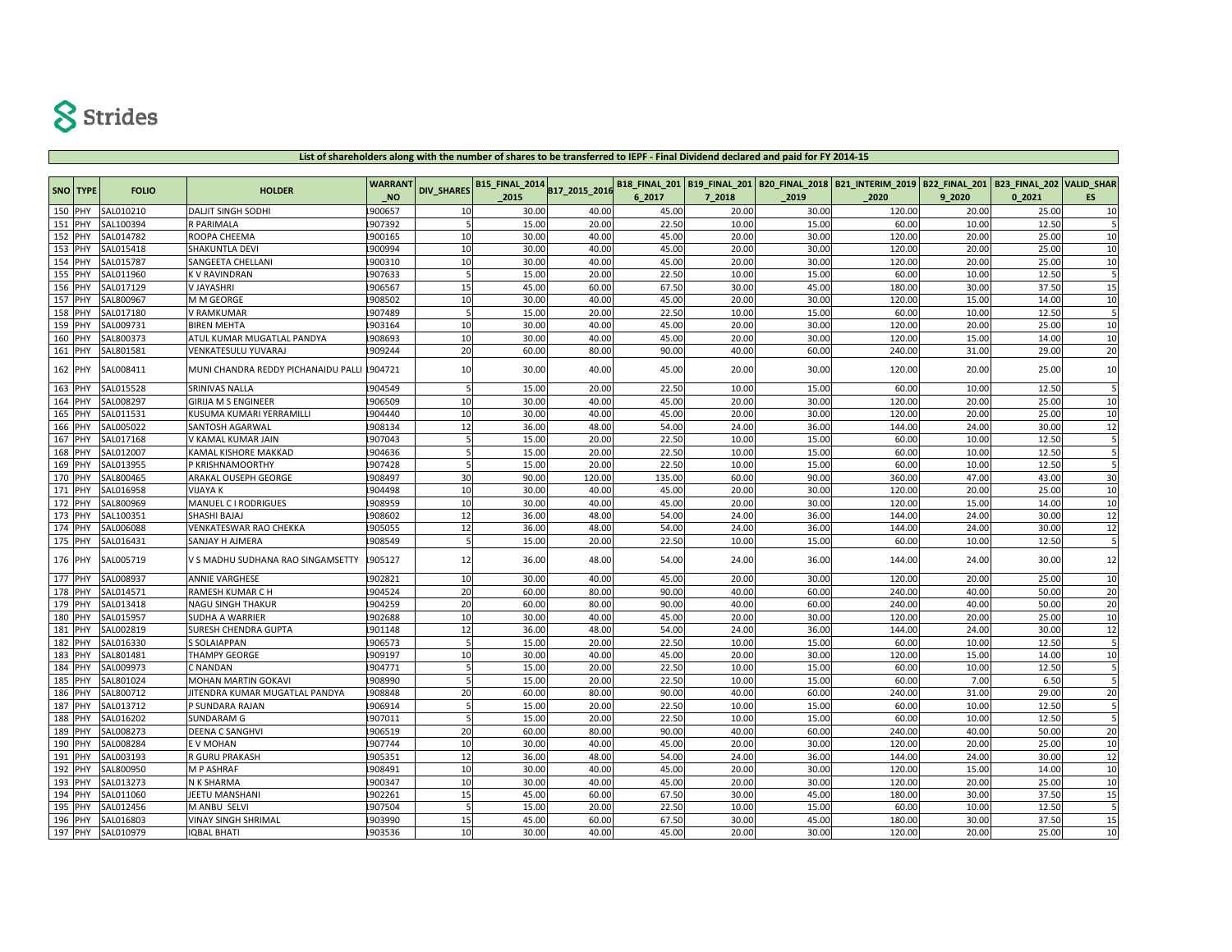|         |                    |              |                                     | <b>WARRANT</b> |                   | B15_FINAL_2014 B17_2015_2016 |        |        |        |       | B18_FINAL_201 B19_FINAL_201 B20_FINAL_2018 B21_INTERIM_2019 B22_FINAL_201 B23_FINAL_202 VALID_SHAR |        |       |     |
|---------|--------------------|--------------|-------------------------------------|----------------|-------------------|------------------------------|--------|--------|--------|-------|----------------------------------------------------------------------------------------------------|--------|-------|-----|
|         | SNO TYPE           | <b>FOLIO</b> | <b>HOLDER</b>                       | <b>NO</b>      | <b>DIV SHARES</b> | 2015                         |        | 6 2017 | 7 2018 | 2019  | 2020                                                                                               | 9 2020 | 02021 | ES. |
|         | 150 PHY            | SAL010210    | <b>DALIT SINGH SODHI</b>            | 900657         | 10                | 30.00                        | 40.00  | 45.00  | 20.00  | 30.00 | 120.00                                                                                             | 20.00  | 25.00 | 10  |
|         | 151 PHY            | SAL100394    | R PARIMALA                          | 907392         | 5                 | 15.00                        | 20.00  | 22.50  | 10.00  | 15.00 | 60.00                                                                                              | 10.00  | 12.50 |     |
|         | <b>152 PHY</b>     | SAL014782    | ROOPA CHEEMA                        | 900165         | 10                | 30.00                        | 40.00  | 45.00  | 20.00  | 30.00 | 120.00                                                                                             | 20.00  | 25.00 | 10  |
| 153     | <b>PHY</b>         | SAL015418    | <b>SHAKUNTLA DEVI</b>               | 900994         | 10                | 30.00                        | 40.00  | 45.00  | 20.00  | 30.00 | 120.00                                                                                             | 20.00  | 25.00 | 10  |
| 154 PHY |                    | SAL015787    | SANGEETA CHELLANI                   | 900310         | 10                | 30.00                        | 40.00  | 45.00  | 20.00  | 30.00 | 120.0                                                                                              | 20.00  | 25.00 | 10  |
|         | 155 PHY            | SAL011960    | K V RAVINDRAN                       | 907633         | 5                 | 15.00                        | 20.00  | 22.50  | 10.00  | 15.00 | 60.00                                                                                              | 10.00  | 12.50 |     |
| 156 PHY |                    | SAL017129    | V JAYASHRI                          | 906567         | 15                | 45.00                        | 60.00  | 67.50  | 30.00  | 45.00 | 180.00                                                                                             | 30.00  | 37.50 | 15  |
|         | <b>157 PHY</b>     | SAL800967    | M M GEORGE                          | 908502         | 10                | 30.00                        | 40.00  | 45.00  | 20.00  | 30.00 | 120.00                                                                                             | 15.00  | 14.00 | 10  |
| 158 PHY |                    | SAL017180    | V RAMKUMAR                          | 907489         |                   | 15.00                        | 20.00  | 22.50  | 10.00  | 15.00 | 60.0                                                                                               | 10.00  | 12.50 |     |
| 159 PHY |                    | SAL009731    | <b>BIREN MEHTA</b>                  | 903164         | 10                | 30.00                        | 40.00  | 45.00  | 20.00  | 30.00 | 120.0                                                                                              | 20.00  | 25.00 | 10  |
|         | 160 PHY            | SAL800373    | ATUL KUMAR MUGATLAL PANDYA          | 908693         | 10                | 30.00                        | 40.00  | 45.00  | 20.00  | 30.00 | 120.0                                                                                              | 15.00  | 14.00 | 10  |
| 161 PHY |                    | SAL801581    |                                     | 909244         | 20                | 60.00                        | 80.00  | 90.00  | 40.00  | 60.00 | 240.00                                                                                             | 31.00  | 29.00 | 20  |
|         |                    |              | VENKATESULU YUVARAJ                 |                |                   |                              |        |        |        |       |                                                                                                    |        |       |     |
|         | 162 PHY            | SAL008411    | MUNI CHANDRA REDDY PICHANAIDU PALLI | 904721         | 10                | 30.00                        | 40.00  | 45.00  | 20.00  | 30.00 | 120.00                                                                                             | 20.00  | 25.00 | 10  |
| 163 PHY |                    | SAL015528    | <b>SRINIVAS NALLA</b>               | 904549         | 5                 | 15.00                        | 20.00  | 22.50  | 10.00  | 15.00 | 60.00                                                                                              | 10.00  | 12.50 |     |
| 164     | <b>PHY</b>         | SAL008297    | <b>GIRIJA M S ENGINEER</b>          | 906509         | 10                | 30.00                        | 40.00  | 45.00  | 20.00  | 30.00 | 120.0                                                                                              | 20.00  | 25.00 | 10  |
| 165 PHY |                    | SAL011531    | KUSUMA KUMARI YERRAMILLI            | 904440         | 10                | 30.00                        | 40.00  | 45.00  | 20.00  | 30.00 | 120.00                                                                                             | 20.00  | 25.00 | 10  |
|         | 166 PHY            | SAL005022    | SANTOSH AGARWAL                     | 908134         | 12                | 36.00                        | 48.00  | 54.00  | 24.00  | 36.00 | 144.00                                                                                             | 24.00  | 30.00 | 12  |
|         | 167 PHY            | SAL017168    | V KAMAL KUMAR JAIN                  | 907043         |                   | 15.00                        | 20.00  | 22.50  | 10.00  | 15.00 | 60.00                                                                                              | 10.00  | 12.50 |     |
| 168 PHY |                    | SAL012007    | KAMAL KISHORE MAKKAD                | 904636         |                   | 15.00                        | 20.00  | 22.50  | 10.00  | 15.00 | 60.00                                                                                              | 10.00  | 12.50 |     |
| 169     | PHY                | SAL013955    | P KRISHNAMOORTHY                    | 907428         |                   | 15.00                        | 20.00  | 22.50  | 10.00  | 15.00 | 60.00                                                                                              | 10.00  | 12.50 |     |
|         | 170 PHY            | SAL800465    | <b>ARAKAL OUSEPH GEORGE</b>         | 908497         | 30                | 90.00                        | 120.00 | 135.00 | 60.00  | 90.00 | 360.00                                                                                             | 47.00  | 43.00 | 30  |
|         | 171 PHY            | SAL016958    | <b>VIJAYA K</b>                     | 904498         | 10                | 30.00                        | 40.00  | 45.00  | 20.00  | 30.00 | 120.00                                                                                             | 20.00  | 25.00 | 10  |
| 172 PHY |                    | SAL800969    | MANUEL C I RODRIGUES                | 908959         | 10                | 30.00                        | 40.00  | 45.00  | 20.00  | 30.00 | 120.00                                                                                             | 15.00  | 14.00 | 10  |
| 173 PHY |                    | SAL100351    | SHASHI BAJAJ                        | 908602         | 12                | 36.00                        | 48.00  | 54.00  | 24.00  | 36.00 | 144.00                                                                                             | 24.00  | 30.00 | 12  |
| 174 PHY |                    | SAL006088    | VENKATESWAR RAO CHEKKA              | 905055         | 12                | 36.00                        | 48.00  | 54.00  | 24.00  | 36.00 | 144.0                                                                                              | 24.00  | 30.00 | 12  |
|         | 175 PHY            | SAL016431    | SANJAY H AJMERA                     | 908549         | 5                 | 15.00                        | 20.00  | 22.50  | 10.00  | 15.00 | 60.00                                                                                              | 10.00  | 12.50 |     |
|         | 176 PHY            | SAL005719    | V S MADHU SUDHANA RAO SINGAMSETTY   | 905127         | 12                | 36.00                        | 48.00  | 54.00  | 24.00  | 36.00 | 144.00                                                                                             | 24.00  | 30.00 | 12  |
| 177 PHY |                    | SAL008937    | <b>ANNIE VARGHESE</b>               | 902821         | 10                | 30.00                        | 40.00  | 45.00  | 20.00  | 30.00 | 120.00                                                                                             | 20.00  | 25.00 | 10  |
| 178     | PHY                | SAL014571    | RAMESH KUMAR C H                    | 904524         | 20                | 60.00                        | 80.00  | 90.00  | 40.00  | 60.00 | 240.00                                                                                             | 40.00  | 50.00 | 20  |
| 179 PHY |                    | SAL013418    | <b>NAGU SINGH THAKUR</b>            | 904259         | 20                | 60.00                        | 80.00  | 90.00  | 40.00  | 60.00 | 240.00                                                                                             | 40.00  | 50.00 | 20  |
|         | 180 PHY            | SAL015957    | SUDHA A WARRIER                     | 902688         | 10                | 30.00                        | 40.00  | 45.00  | 20.00  | 30.00 | 120.00                                                                                             | 20.00  | 25.00 | 10  |
|         | 181 PHY            | SAL002819    | SURESH CHENDRA GUPTA                | 901148         | 12                | 36.00                        | 48.00  | 54.00  | 24.00  | 36.00 | 144.00                                                                                             | 24.00  | 30.00 | 12  |
|         | 182 PHY            | SAL016330    | S SOLAIAPPAN                        | 906573         |                   | 15.00                        | 20.00  | 22.50  | 10.00  | 15.00 | 60.00                                                                                              | 10.00  | 12.50 |     |
| 183     | PHY                | SAL801481    | <b>THAMPY GEORGE</b>                | 909197         | 10                | 30.00                        | 40.00  | 45.00  | 20.00  | 30.00 | 120.00                                                                                             | 15.00  | 14.00 | 10  |
| 184 PHY |                    | SAL009973    | C NANDAN                            | 904771         |                   | 15.00                        | 20.00  | 22.50  | 10.00  | 15.00 | 60.00                                                                                              | 10.00  | 12.50 |     |
|         | 185 PHY            | SAL801024    | MOHAN MARTIN GOKAVI                 | 908990         |                   | 15.00                        | 20.00  | 22.50  | 10.00  | 15.00 | 60.00                                                                                              | 7.00   | 6.50  |     |
|         | 186 PHY            | SAL800712    | JITENDRA KUMAR MUGATLAL PANDYA      | 908848         | 20                | 60.00                        | 80.00  | 90.00  | 40.00  | 60.00 | 240.00                                                                                             | 31.00  | 29.00 | 20  |
| 187 PHY |                    | SAL013712    | P SUNDARA RAJAN                     | 906914         |                   | 15.00                        | 20.00  | 22.50  | 10.00  | 15.00 | 60.0                                                                                               | 10.00  | 12.50 |     |
| 188 PHY |                    | SAL016202    | <b>SUNDARAM G</b>                   | 907011         |                   | 15.00                        | 20.00  | 22.50  | 10.00  | 15.00 | 60.00                                                                                              | 10.00  | 12.50 |     |
| 189 PHY |                    | SAL008273    | DEENA C SANGHVI                     | 906519         | 20                | 60.00                        | 80.00  | 90.00  | 40.00  | 60.00 | 240.00                                                                                             | 40.00  | 50.00 | 20  |
|         | 190 PHY            | SAL008284    | E V MOHAN                           | 907744         | 10                | 30.00                        | 40.00  | 45.00  | 20.00  | 30.00 | 120.00                                                                                             | 20.00  | 25.00 | 10  |
|         | 191 PHY            |              |                                     |                | 12                |                              |        | 54.00  |        |       |                                                                                                    |        |       | 12  |
|         | 192 PHY            | SAL003193    | R GURU PRAKASH                      | 905351         |                   | 36.00                        | 48.00  | 45.00  | 24.00  | 36.00 | 144.00                                                                                             | 24.00  | 30.00 |     |
|         |                    | SAL800950    | M P ASHRAF                          | 908491         | 10                | 30.00                        | 40.00  |        | 20.00  | 30.00 | 120.0                                                                                              | 15.00  | 14.00 | 10  |
| 193     | <b>PHY</b>         | SAL013273    | N K SHARMA                          | 900347         | 10                | 30.00                        | 40.00  | 45.00  | 20.00  | 30.00 | 120.00                                                                                             | 20.00  | 25.00 | 10  |
| 194 PHY |                    | SAL011060    | JEETU MANSHANI                      | 902261         | 15<br>5           | 45.00                        | 60.00  | 67.50  | 30.00  | 45.00 | 180.0                                                                                              | 30.00  | 37.50 | 15  |
| 195     | PHY                | SAL012456    | M ANBU SELVI                        | 907504         |                   | 15.00                        | 20.00  | 22.50  | 10.00  | 15.00 | 60.00                                                                                              | 10.00  | 12.50 |     |
|         | 196 PHY<br>197 PHY | SAL016803    | <b>VINAY SINGH SHRIMAL</b>          | 903990         | 15                | 45.00                        | 60.00  | 67.50  | 30.00  | 45.00 | 180.00                                                                                             | 30.00  | 37.50 | 15  |
|         |                    | SAL010979    | <b>IOBAL BHATI</b>                  | 903536         | 10                | 30.00                        | 40.00  | 45.00  | 20.00  | 30.00 | 120.00                                                                                             | 20.00  | 25.00 | 10  |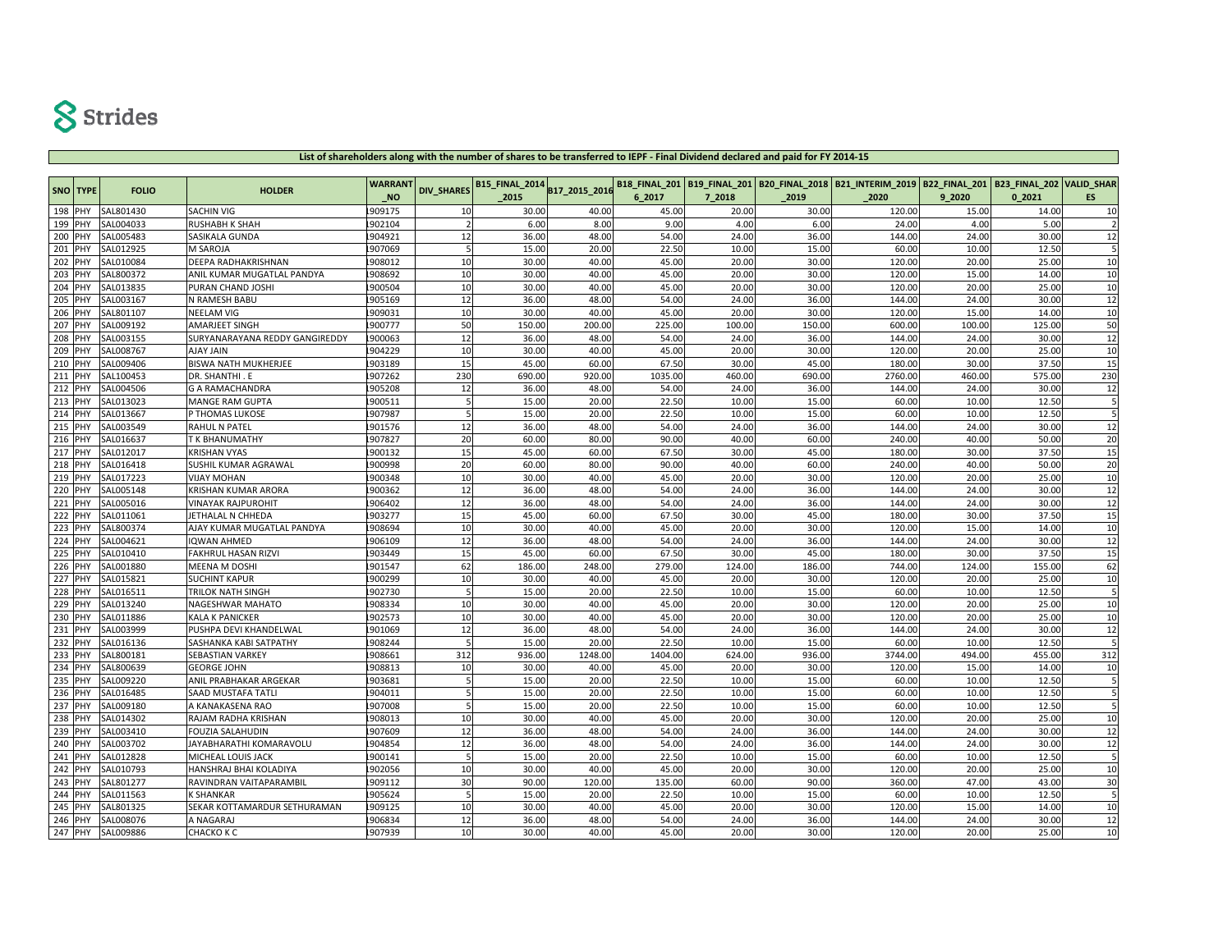| B18_FINAL_201 B19_FINAL_201 B20_FINAL_2018 B21_INTERIM_2019 B22_FINAL_201 B23_FINAL_202 VALID_SHAR<br><b>WARRANT</b><br>B15_FINAL_2014 B17_2015_2016<br><b>DIV_SHARES</b><br>SNO TYPE<br><b>FOLIO</b><br><b>HOLDER</b><br>2015<br>2019<br>9 2020<br>02021<br>ES.<br><b>NO</b><br>6_2017<br>7 2018<br>2020<br>909175<br>198<br>PHY<br>SAL801430<br><b>SACHIN VIG</b><br>45.00<br>14.00<br>10<br>30.00<br>40.00<br>20.00<br>30.00<br>120.00<br>15.00<br>10<br>9.00<br>199 PHY<br>SAL004033<br>RUSHABH K SHAH<br>902104<br>6.00<br>8.00<br>4.00<br>6.00<br>24.00<br>4.00<br>5.00<br>$\overline{2}$<br>200 PHY<br>SAL005483<br>904921<br>12<br>36.00<br>54.00<br>36.00<br>144.00<br>24.00<br>12<br>SASIKALA GUNDA<br>48.00<br>24.00<br>30.00<br>201<br>22.50<br>60.00<br>PHY<br>SAL012925<br>M SAROJA<br>907069<br>5<br>15.00<br>20.00<br>10.00<br>15.00<br>10.00<br>12.50<br>202<br>908012<br>10<br>30.00<br>30.00<br>120.00<br>20.00<br>25.00<br>10<br>PHY<br>SAL010084<br>DEEPA RADHAKRISHNAN<br>40.00<br>45.00<br>20.00<br>203<br>PHY<br>SAL800372<br>ANIL KUMAR MUGATLAL PANDYA<br>908692<br>10<br>30.00<br>40.00<br>45.00<br>20.00<br>30.00<br>120.00<br>15.00<br>14.00<br>10<br>204<br>900504<br>30.00<br>45.00<br>120.00<br>25.00<br>10<br>PHY<br>SAL013835<br>10<br>40.00<br>20.00<br>30.00<br>20.00<br>PURAN CHAND JOSHI<br>12<br>905169<br>12<br>205<br>PHY<br>SAL003167<br>N RAMESH BABU<br>36.00<br>48.00<br>54.00<br>24.00<br>36.00<br>144.00<br>24.00<br>30.00<br>10<br>206<br>SAL801107<br>909031<br>10<br>30.00<br>45.00<br>20.00<br>30.00<br>120.00<br>15.00<br>14.00<br>PHY<br><b>NEELAM VIG</b><br>40.00<br>50<br>207<br>PHY<br>SAL009192<br>900777<br>50<br>150.00<br>200.00<br>225.00<br>100.00<br>150.00<br>600.00<br>100.00<br>125.00<br><b>AMARJEET SINGH</b><br>12<br>208<br>PHY<br>SAL003155<br>SURYANARAYANA REDDY GANGIREDDY<br>900063<br>12<br>36.00<br>48.00<br>54.00<br>24.00<br>36.00<br>144.00<br>24.00<br>30.00<br>10<br>209<br>PHY<br>SAL008767<br>904229<br>10<br>30.00<br>45.00<br>20.00<br>30.00<br>120.00<br>20.00<br>25.00<br><b>AJAY JAIN</b><br>40.00<br>15<br>SAL009406<br>1903189<br>15<br>45.00<br>67.50<br>45.00<br>180.00<br>37.50<br>210 PHY<br><b>BISWA NATH MUKHERJEE</b><br>60.00<br>30.00<br>30.00<br>230<br>230<br>575.00<br>211<br>PHY<br>SAL100453<br>907262<br>690.00<br>920.00<br>1035.00<br>460.00<br>690.00<br>2760.00<br>460.00<br>DR. SHANTHI. E<br>212<br>PHY<br>SAL004506<br>905208<br>12<br>36.00<br>36.00<br>144.00<br>30.00<br>12<br><b>G A RAMACHANDRA</b><br>48.00<br>54.00<br>24.00<br>24.00<br>213<br>PHY<br>SAL013023<br>900511<br>15.00<br>22.50<br>15.00<br>60.00<br>10.00<br>12.50<br><b>MANGE RAM GUPTA</b><br>5<br>20.00<br>10.00<br>214<br><b>IPHY</b><br>SAL013667<br>907987<br>15.00<br>20.00<br>22.50<br>10.00<br>15.00<br>60.00<br>10.00<br>12.50<br>P THOMAS LUKOSE<br>5<br>36.00<br>215<br><b>PHY</b><br>SAL003549<br>RAHUL N PATEL<br>901576<br>12<br>48.00<br>54.00<br>24.00<br>36.00<br>144.00<br>24.00<br>30.00<br>12<br>20<br>20<br>90.00<br>216 PHY<br>SAL016637<br><b>T K BHANUMATHY</b><br>907827<br>60.00<br>80.00<br>40.00<br>60.00<br>240.00<br>40.00<br>50.00<br>217<br>15<br>15<br>PHY<br>SAL012017<br>900132<br>45.00<br>67.50<br>30.00<br>45.00<br>180.00<br>30.00<br>37.50<br>KRISHAN VYAS<br>60.00<br>20<br>20<br>218<br>PHY<br>SAL016418<br>SUSHIL KUMAR AGRAWAL<br>900998<br>60.00<br>80.00<br>90.00<br>40.00<br>60.00<br>240.00<br>40.00<br>50.00<br>10<br>219 PHY<br>30.00<br>SAL017223<br>900348<br>10<br>30.00<br>45.00<br>20.00<br>120.00<br>20.00<br>25.00<br><b>VIJAY MOHAN</b><br>40.00<br>12<br>220 PHY<br>SAL005148<br>900362<br>12<br>36.00<br>48.00<br>54.00<br>24.00<br>36.00<br>144.00<br>24.00<br>30.00<br>KRISHAN KUMAR ARORA<br>12<br>12<br>221<br>PHY<br>SAL005016<br>906402<br>36.00<br>48.00<br>54.00<br>24.00<br>36.00<br>144.00<br>24.00<br>30.00<br>VINAYAK RAJPUROHIT<br>15<br>222<br>SAL011061<br>903277<br>15<br>45.00<br>67.50<br>45.00<br>37.50<br>PHY<br>60.00<br>30.00<br>180.00<br>30.00<br>JETHALAL N CHHEDA<br>10<br>223<br>PHY<br>SAL800374<br>908694<br>10<br>30.00<br>45.00<br>20.00<br>30.00<br>120.00<br>15.00<br>14.00<br>AJAY KUMAR MUGATLAL PANDYA<br>40.00<br>12<br>224<br>PHY<br>36.00<br>54.00<br>36.00<br>144.00<br>30.00<br>SAL004621<br><b>OWAN AHMED</b><br>906109<br>12<br>48.00<br>24.00<br>24.00<br>15<br>225<br>903449<br>15<br>45.00<br>67.50<br>45.00<br>180.00<br>37.50<br>PHY<br>SAL010410<br>30.00<br>30.00<br>FAKHRUL HASAN RIZVI<br>60.00<br>62<br>901547<br>62<br>186.00<br>279.00<br>186.00<br>744.00<br>124.00<br>155.00<br>226<br>PHY<br>SAL001880<br><b>MEENA M DOSHI</b><br>248.00<br>124.00<br>227<br>10<br>PHY<br>SAL015821<br>900299<br>10<br>30.00<br>45.00<br>30.00<br>120.00<br>20.00<br>25.00<br><b>SUCHINT KAPUR</b><br>40.00<br>20.00<br>5<br>22.50<br>228<br>PHY<br>SAL016511<br><b>TRILOK NATH SINGH</b><br>902730<br>15.00<br>20.00<br>10.00<br>15.00<br>60.00<br>10.00<br>12.50<br>10<br>229<br>PHY<br>30.00<br>45.00<br>30.00<br>25.00<br>SAL013240<br>NAGESHWAR MAHATO<br>908334<br>10<br>40.00<br>20.00<br>120.00<br>20.00<br>230 PHY<br>902573<br>10 <sup>1</sup><br>30.00<br>45.00<br>30.00<br>120.00<br>25.00<br>10<br>SAL011886<br>40.00<br>20.00<br>20.00<br><b>KALA K PANICKER</b><br>231<br>PHY<br>SAL003999<br>901069<br>12<br>36.00<br>48.00<br>54.00<br>24.00<br>36.00<br>144.00<br>24.00<br>30.00<br>12<br>PUSHPA DEVI KHANDELWAL<br>22.50<br>232<br>SAL016136<br>908244<br>15.00<br>20.00<br>10.00<br>15.00<br>60.00<br>10.00<br>12.50<br>PHY<br>SASHANKA KABI SATPATHY<br>312<br>233<br>PHY<br>SAL800181<br>908661<br>312<br>936.00<br>1248.00<br>1404.00<br>624.00<br>936.00<br>3744.00<br>494.00<br>455.00<br><b>SEBASTIAN VARKEY</b><br>30.00<br>234<br>PHY<br>SAL800639<br>908813<br>10<br>40.00<br>45.00<br>20.00<br>30.00<br>120.00<br>15.00<br>14.00<br>10<br><b>GEORGE JOHN</b><br>22.50<br>235<br>PHY<br>SAL009220<br>903681<br>15.00<br>20.00<br>10.00<br>15.00<br>60.00<br>10.00<br>12.50<br>ANIL PRABHAKAR ARGEKAR<br>5<br>236<br>904011<br>15.00<br>22.50<br>10.00<br>15.00<br>60.00<br>12.50<br><b>IPHY</b><br>SAL016485<br><b>SAAD MUSTAFA TATLI</b><br>20.00<br>10.00<br>237<br>PHY<br>SAL009180<br>907008<br>5<br>15.00<br>22.50<br>15.00<br>12.50<br>A KANAKASENA RAO<br>20.00<br>10.00<br>60.00<br>10.00 |  |  |  |  |  |  |  |          |
|------------------------------------------------------------------------------------------------------------------------------------------------------------------------------------------------------------------------------------------------------------------------------------------------------------------------------------------------------------------------------------------------------------------------------------------------------------------------------------------------------------------------------------------------------------------------------------------------------------------------------------------------------------------------------------------------------------------------------------------------------------------------------------------------------------------------------------------------------------------------------------------------------------------------------------------------------------------------------------------------------------------------------------------------------------------------------------------------------------------------------------------------------------------------------------------------------------------------------------------------------------------------------------------------------------------------------------------------------------------------------------------------------------------------------------------------------------------------------------------------------------------------------------------------------------------------------------------------------------------------------------------------------------------------------------------------------------------------------------------------------------------------------------------------------------------------------------------------------------------------------------------------------------------------------------------------------------------------------------------------------------------------------------------------------------------------------------------------------------------------------------------------------------------------------------------------------------------------------------------------------------------------------------------------------------------------------------------------------------------------------------------------------------------------------------------------------------------------------------------------------------------------------------------------------------------------------------------------------------------------------------------------------------------------------------------------------------------------------------------------------------------------------------------------------------------------------------------------------------------------------------------------------------------------------------------------------------------------------------------------------------------------------------------------------------------------------------------------------------------------------------------------------------------------------------------------------------------------------------------------------------------------------------------------------------------------------------------------------------------------------------------------------------------------------------------------------------------------------------------------------------------------------------------------------------------------------------------------------------------------------------------------------------------------------------------------------------------------------------------------------------------------------------------------------------------------------------------------------------------------------------------------------------------------------------------------------------------------------------------------------------------------------------------------------------------------------------------------------------------------------------------------------------------------------------------------------------------------------------------------------------------------------------------------------------------------------------------------------------------------------------------------------------------------------------------------------------------------------------------------------------------------------------------------------------------------------------------------------------------------------------------------------------------------------------------------------------------------------------------------------------------------------------------------------------------------------------------------------------------------------------------------------------------------------------------------------------------------------------------------------------------------------------------------------------------------------------------------------------------------------------------------------------------------------------------------------------------------------------------------------------------------------------------------------------------------------------------------------------------------------------------------------------------------------------------------------------------------------------------------------------------------------------------------------------------------------------------------------------------------------------------------------------------------------------------------------------------------------------------------------------------------------------------------------------------------------------------------------------------------------------------------------------------------------------------------------------------------------------------------------------------------------------------------------------------------------------------------------------------------------------------------------------------------------------------------------------------------------------------------------------------------------------------------------------------------------|--|--|--|--|--|--|--|----------|
|                                                                                                                                                                                                                                                                                                                                                                                                                                                                                                                                                                                                                                                                                                                                                                                                                                                                                                                                                                                                                                                                                                                                                                                                                                                                                                                                                                                                                                                                                                                                                                                                                                                                                                                                                                                                                                                                                                                                                                                                                                                                                                                                                                                                                                                                                                                                                                                                                                                                                                                                                                                                                                                                                                                                                                                                                                                                                                                                                                                                                                                                                                                                                                                                                                                                                                                                                                                                                                                                                                                                                                                                                                                                                                                                                                                                                                                                                                                                                                                                                                                                                                                                                                                                                                                                                                                                                                                                                                                                                                                                                                                                                                                                                                                                                                                                                                                                                                                                                                                                                                                                                                                                                                                                                                                                                                                                                                                                                                                                                                                                                                                                                                                                                                                                                                                                                                                                                                                                                                                                                                                                                                                                                                                                                                                                                                                              |  |  |  |  |  |  |  |          |
|                                                                                                                                                                                                                                                                                                                                                                                                                                                                                                                                                                                                                                                                                                                                                                                                                                                                                                                                                                                                                                                                                                                                                                                                                                                                                                                                                                                                                                                                                                                                                                                                                                                                                                                                                                                                                                                                                                                                                                                                                                                                                                                                                                                                                                                                                                                                                                                                                                                                                                                                                                                                                                                                                                                                                                                                                                                                                                                                                                                                                                                                                                                                                                                                                                                                                                                                                                                                                                                                                                                                                                                                                                                                                                                                                                                                                                                                                                                                                                                                                                                                                                                                                                                                                                                                                                                                                                                                                                                                                                                                                                                                                                                                                                                                                                                                                                                                                                                                                                                                                                                                                                                                                                                                                                                                                                                                                                                                                                                                                                                                                                                                                                                                                                                                                                                                                                                                                                                                                                                                                                                                                                                                                                                                                                                                                                                              |  |  |  |  |  |  |  |          |
|                                                                                                                                                                                                                                                                                                                                                                                                                                                                                                                                                                                                                                                                                                                                                                                                                                                                                                                                                                                                                                                                                                                                                                                                                                                                                                                                                                                                                                                                                                                                                                                                                                                                                                                                                                                                                                                                                                                                                                                                                                                                                                                                                                                                                                                                                                                                                                                                                                                                                                                                                                                                                                                                                                                                                                                                                                                                                                                                                                                                                                                                                                                                                                                                                                                                                                                                                                                                                                                                                                                                                                                                                                                                                                                                                                                                                                                                                                                                                                                                                                                                                                                                                                                                                                                                                                                                                                                                                                                                                                                                                                                                                                                                                                                                                                                                                                                                                                                                                                                                                                                                                                                                                                                                                                                                                                                                                                                                                                                                                                                                                                                                                                                                                                                                                                                                                                                                                                                                                                                                                                                                                                                                                                                                                                                                                                                              |  |  |  |  |  |  |  |          |
|                                                                                                                                                                                                                                                                                                                                                                                                                                                                                                                                                                                                                                                                                                                                                                                                                                                                                                                                                                                                                                                                                                                                                                                                                                                                                                                                                                                                                                                                                                                                                                                                                                                                                                                                                                                                                                                                                                                                                                                                                                                                                                                                                                                                                                                                                                                                                                                                                                                                                                                                                                                                                                                                                                                                                                                                                                                                                                                                                                                                                                                                                                                                                                                                                                                                                                                                                                                                                                                                                                                                                                                                                                                                                                                                                                                                                                                                                                                                                                                                                                                                                                                                                                                                                                                                                                                                                                                                                                                                                                                                                                                                                                                                                                                                                                                                                                                                                                                                                                                                                                                                                                                                                                                                                                                                                                                                                                                                                                                                                                                                                                                                                                                                                                                                                                                                                                                                                                                                                                                                                                                                                                                                                                                                                                                                                                                              |  |  |  |  |  |  |  |          |
|                                                                                                                                                                                                                                                                                                                                                                                                                                                                                                                                                                                                                                                                                                                                                                                                                                                                                                                                                                                                                                                                                                                                                                                                                                                                                                                                                                                                                                                                                                                                                                                                                                                                                                                                                                                                                                                                                                                                                                                                                                                                                                                                                                                                                                                                                                                                                                                                                                                                                                                                                                                                                                                                                                                                                                                                                                                                                                                                                                                                                                                                                                                                                                                                                                                                                                                                                                                                                                                                                                                                                                                                                                                                                                                                                                                                                                                                                                                                                                                                                                                                                                                                                                                                                                                                                                                                                                                                                                                                                                                                                                                                                                                                                                                                                                                                                                                                                                                                                                                                                                                                                                                                                                                                                                                                                                                                                                                                                                                                                                                                                                                                                                                                                                                                                                                                                                                                                                                                                                                                                                                                                                                                                                                                                                                                                                                              |  |  |  |  |  |  |  |          |
|                                                                                                                                                                                                                                                                                                                                                                                                                                                                                                                                                                                                                                                                                                                                                                                                                                                                                                                                                                                                                                                                                                                                                                                                                                                                                                                                                                                                                                                                                                                                                                                                                                                                                                                                                                                                                                                                                                                                                                                                                                                                                                                                                                                                                                                                                                                                                                                                                                                                                                                                                                                                                                                                                                                                                                                                                                                                                                                                                                                                                                                                                                                                                                                                                                                                                                                                                                                                                                                                                                                                                                                                                                                                                                                                                                                                                                                                                                                                                                                                                                                                                                                                                                                                                                                                                                                                                                                                                                                                                                                                                                                                                                                                                                                                                                                                                                                                                                                                                                                                                                                                                                                                                                                                                                                                                                                                                                                                                                                                                                                                                                                                                                                                                                                                                                                                                                                                                                                                                                                                                                                                                                                                                                                                                                                                                                                              |  |  |  |  |  |  |  |          |
|                                                                                                                                                                                                                                                                                                                                                                                                                                                                                                                                                                                                                                                                                                                                                                                                                                                                                                                                                                                                                                                                                                                                                                                                                                                                                                                                                                                                                                                                                                                                                                                                                                                                                                                                                                                                                                                                                                                                                                                                                                                                                                                                                                                                                                                                                                                                                                                                                                                                                                                                                                                                                                                                                                                                                                                                                                                                                                                                                                                                                                                                                                                                                                                                                                                                                                                                                                                                                                                                                                                                                                                                                                                                                                                                                                                                                                                                                                                                                                                                                                                                                                                                                                                                                                                                                                                                                                                                                                                                                                                                                                                                                                                                                                                                                                                                                                                                                                                                                                                                                                                                                                                                                                                                                                                                                                                                                                                                                                                                                                                                                                                                                                                                                                                                                                                                                                                                                                                                                                                                                                                                                                                                                                                                                                                                                                                              |  |  |  |  |  |  |  |          |
|                                                                                                                                                                                                                                                                                                                                                                                                                                                                                                                                                                                                                                                                                                                                                                                                                                                                                                                                                                                                                                                                                                                                                                                                                                                                                                                                                                                                                                                                                                                                                                                                                                                                                                                                                                                                                                                                                                                                                                                                                                                                                                                                                                                                                                                                                                                                                                                                                                                                                                                                                                                                                                                                                                                                                                                                                                                                                                                                                                                                                                                                                                                                                                                                                                                                                                                                                                                                                                                                                                                                                                                                                                                                                                                                                                                                                                                                                                                                                                                                                                                                                                                                                                                                                                                                                                                                                                                                                                                                                                                                                                                                                                                                                                                                                                                                                                                                                                                                                                                                                                                                                                                                                                                                                                                                                                                                                                                                                                                                                                                                                                                                                                                                                                                                                                                                                                                                                                                                                                                                                                                                                                                                                                                                                                                                                                                              |  |  |  |  |  |  |  |          |
|                                                                                                                                                                                                                                                                                                                                                                                                                                                                                                                                                                                                                                                                                                                                                                                                                                                                                                                                                                                                                                                                                                                                                                                                                                                                                                                                                                                                                                                                                                                                                                                                                                                                                                                                                                                                                                                                                                                                                                                                                                                                                                                                                                                                                                                                                                                                                                                                                                                                                                                                                                                                                                                                                                                                                                                                                                                                                                                                                                                                                                                                                                                                                                                                                                                                                                                                                                                                                                                                                                                                                                                                                                                                                                                                                                                                                                                                                                                                                                                                                                                                                                                                                                                                                                                                                                                                                                                                                                                                                                                                                                                                                                                                                                                                                                                                                                                                                                                                                                                                                                                                                                                                                                                                                                                                                                                                                                                                                                                                                                                                                                                                                                                                                                                                                                                                                                                                                                                                                                                                                                                                                                                                                                                                                                                                                                                              |  |  |  |  |  |  |  |          |
|                                                                                                                                                                                                                                                                                                                                                                                                                                                                                                                                                                                                                                                                                                                                                                                                                                                                                                                                                                                                                                                                                                                                                                                                                                                                                                                                                                                                                                                                                                                                                                                                                                                                                                                                                                                                                                                                                                                                                                                                                                                                                                                                                                                                                                                                                                                                                                                                                                                                                                                                                                                                                                                                                                                                                                                                                                                                                                                                                                                                                                                                                                                                                                                                                                                                                                                                                                                                                                                                                                                                                                                                                                                                                                                                                                                                                                                                                                                                                                                                                                                                                                                                                                                                                                                                                                                                                                                                                                                                                                                                                                                                                                                                                                                                                                                                                                                                                                                                                                                                                                                                                                                                                                                                                                                                                                                                                                                                                                                                                                                                                                                                                                                                                                                                                                                                                                                                                                                                                                                                                                                                                                                                                                                                                                                                                                                              |  |  |  |  |  |  |  |          |
|                                                                                                                                                                                                                                                                                                                                                                                                                                                                                                                                                                                                                                                                                                                                                                                                                                                                                                                                                                                                                                                                                                                                                                                                                                                                                                                                                                                                                                                                                                                                                                                                                                                                                                                                                                                                                                                                                                                                                                                                                                                                                                                                                                                                                                                                                                                                                                                                                                                                                                                                                                                                                                                                                                                                                                                                                                                                                                                                                                                                                                                                                                                                                                                                                                                                                                                                                                                                                                                                                                                                                                                                                                                                                                                                                                                                                                                                                                                                                                                                                                                                                                                                                                                                                                                                                                                                                                                                                                                                                                                                                                                                                                                                                                                                                                                                                                                                                                                                                                                                                                                                                                                                                                                                                                                                                                                                                                                                                                                                                                                                                                                                                                                                                                                                                                                                                                                                                                                                                                                                                                                                                                                                                                                                                                                                                                                              |  |  |  |  |  |  |  |          |
|                                                                                                                                                                                                                                                                                                                                                                                                                                                                                                                                                                                                                                                                                                                                                                                                                                                                                                                                                                                                                                                                                                                                                                                                                                                                                                                                                                                                                                                                                                                                                                                                                                                                                                                                                                                                                                                                                                                                                                                                                                                                                                                                                                                                                                                                                                                                                                                                                                                                                                                                                                                                                                                                                                                                                                                                                                                                                                                                                                                                                                                                                                                                                                                                                                                                                                                                                                                                                                                                                                                                                                                                                                                                                                                                                                                                                                                                                                                                                                                                                                                                                                                                                                                                                                                                                                                                                                                                                                                                                                                                                                                                                                                                                                                                                                                                                                                                                                                                                                                                                                                                                                                                                                                                                                                                                                                                                                                                                                                                                                                                                                                                                                                                                                                                                                                                                                                                                                                                                                                                                                                                                                                                                                                                                                                                                                                              |  |  |  |  |  |  |  |          |
|                                                                                                                                                                                                                                                                                                                                                                                                                                                                                                                                                                                                                                                                                                                                                                                                                                                                                                                                                                                                                                                                                                                                                                                                                                                                                                                                                                                                                                                                                                                                                                                                                                                                                                                                                                                                                                                                                                                                                                                                                                                                                                                                                                                                                                                                                                                                                                                                                                                                                                                                                                                                                                                                                                                                                                                                                                                                                                                                                                                                                                                                                                                                                                                                                                                                                                                                                                                                                                                                                                                                                                                                                                                                                                                                                                                                                                                                                                                                                                                                                                                                                                                                                                                                                                                                                                                                                                                                                                                                                                                                                                                                                                                                                                                                                                                                                                                                                                                                                                                                                                                                                                                                                                                                                                                                                                                                                                                                                                                                                                                                                                                                                                                                                                                                                                                                                                                                                                                                                                                                                                                                                                                                                                                                                                                                                                                              |  |  |  |  |  |  |  |          |
|                                                                                                                                                                                                                                                                                                                                                                                                                                                                                                                                                                                                                                                                                                                                                                                                                                                                                                                                                                                                                                                                                                                                                                                                                                                                                                                                                                                                                                                                                                                                                                                                                                                                                                                                                                                                                                                                                                                                                                                                                                                                                                                                                                                                                                                                                                                                                                                                                                                                                                                                                                                                                                                                                                                                                                                                                                                                                                                                                                                                                                                                                                                                                                                                                                                                                                                                                                                                                                                                                                                                                                                                                                                                                                                                                                                                                                                                                                                                                                                                                                                                                                                                                                                                                                                                                                                                                                                                                                                                                                                                                                                                                                                                                                                                                                                                                                                                                                                                                                                                                                                                                                                                                                                                                                                                                                                                                                                                                                                                                                                                                                                                                                                                                                                                                                                                                                                                                                                                                                                                                                                                                                                                                                                                                                                                                                                              |  |  |  |  |  |  |  |          |
|                                                                                                                                                                                                                                                                                                                                                                                                                                                                                                                                                                                                                                                                                                                                                                                                                                                                                                                                                                                                                                                                                                                                                                                                                                                                                                                                                                                                                                                                                                                                                                                                                                                                                                                                                                                                                                                                                                                                                                                                                                                                                                                                                                                                                                                                                                                                                                                                                                                                                                                                                                                                                                                                                                                                                                                                                                                                                                                                                                                                                                                                                                                                                                                                                                                                                                                                                                                                                                                                                                                                                                                                                                                                                                                                                                                                                                                                                                                                                                                                                                                                                                                                                                                                                                                                                                                                                                                                                                                                                                                                                                                                                                                                                                                                                                                                                                                                                                                                                                                                                                                                                                                                                                                                                                                                                                                                                                                                                                                                                                                                                                                                                                                                                                                                                                                                                                                                                                                                                                                                                                                                                                                                                                                                                                                                                                                              |  |  |  |  |  |  |  |          |
|                                                                                                                                                                                                                                                                                                                                                                                                                                                                                                                                                                                                                                                                                                                                                                                                                                                                                                                                                                                                                                                                                                                                                                                                                                                                                                                                                                                                                                                                                                                                                                                                                                                                                                                                                                                                                                                                                                                                                                                                                                                                                                                                                                                                                                                                                                                                                                                                                                                                                                                                                                                                                                                                                                                                                                                                                                                                                                                                                                                                                                                                                                                                                                                                                                                                                                                                                                                                                                                                                                                                                                                                                                                                                                                                                                                                                                                                                                                                                                                                                                                                                                                                                                                                                                                                                                                                                                                                                                                                                                                                                                                                                                                                                                                                                                                                                                                                                                                                                                                                                                                                                                                                                                                                                                                                                                                                                                                                                                                                                                                                                                                                                                                                                                                                                                                                                                                                                                                                                                                                                                                                                                                                                                                                                                                                                                                              |  |  |  |  |  |  |  |          |
|                                                                                                                                                                                                                                                                                                                                                                                                                                                                                                                                                                                                                                                                                                                                                                                                                                                                                                                                                                                                                                                                                                                                                                                                                                                                                                                                                                                                                                                                                                                                                                                                                                                                                                                                                                                                                                                                                                                                                                                                                                                                                                                                                                                                                                                                                                                                                                                                                                                                                                                                                                                                                                                                                                                                                                                                                                                                                                                                                                                                                                                                                                                                                                                                                                                                                                                                                                                                                                                                                                                                                                                                                                                                                                                                                                                                                                                                                                                                                                                                                                                                                                                                                                                                                                                                                                                                                                                                                                                                                                                                                                                                                                                                                                                                                                                                                                                                                                                                                                                                                                                                                                                                                                                                                                                                                                                                                                                                                                                                                                                                                                                                                                                                                                                                                                                                                                                                                                                                                                                                                                                                                                                                                                                                                                                                                                                              |  |  |  |  |  |  |  |          |
|                                                                                                                                                                                                                                                                                                                                                                                                                                                                                                                                                                                                                                                                                                                                                                                                                                                                                                                                                                                                                                                                                                                                                                                                                                                                                                                                                                                                                                                                                                                                                                                                                                                                                                                                                                                                                                                                                                                                                                                                                                                                                                                                                                                                                                                                                                                                                                                                                                                                                                                                                                                                                                                                                                                                                                                                                                                                                                                                                                                                                                                                                                                                                                                                                                                                                                                                                                                                                                                                                                                                                                                                                                                                                                                                                                                                                                                                                                                                                                                                                                                                                                                                                                                                                                                                                                                                                                                                                                                                                                                                                                                                                                                                                                                                                                                                                                                                                                                                                                                                                                                                                                                                                                                                                                                                                                                                                                                                                                                                                                                                                                                                                                                                                                                                                                                                                                                                                                                                                                                                                                                                                                                                                                                                                                                                                                                              |  |  |  |  |  |  |  |          |
|                                                                                                                                                                                                                                                                                                                                                                                                                                                                                                                                                                                                                                                                                                                                                                                                                                                                                                                                                                                                                                                                                                                                                                                                                                                                                                                                                                                                                                                                                                                                                                                                                                                                                                                                                                                                                                                                                                                                                                                                                                                                                                                                                                                                                                                                                                                                                                                                                                                                                                                                                                                                                                                                                                                                                                                                                                                                                                                                                                                                                                                                                                                                                                                                                                                                                                                                                                                                                                                                                                                                                                                                                                                                                                                                                                                                                                                                                                                                                                                                                                                                                                                                                                                                                                                                                                                                                                                                                                                                                                                                                                                                                                                                                                                                                                                                                                                                                                                                                                                                                                                                                                                                                                                                                                                                                                                                                                                                                                                                                                                                                                                                                                                                                                                                                                                                                                                                                                                                                                                                                                                                                                                                                                                                                                                                                                                              |  |  |  |  |  |  |  |          |
|                                                                                                                                                                                                                                                                                                                                                                                                                                                                                                                                                                                                                                                                                                                                                                                                                                                                                                                                                                                                                                                                                                                                                                                                                                                                                                                                                                                                                                                                                                                                                                                                                                                                                                                                                                                                                                                                                                                                                                                                                                                                                                                                                                                                                                                                                                                                                                                                                                                                                                                                                                                                                                                                                                                                                                                                                                                                                                                                                                                                                                                                                                                                                                                                                                                                                                                                                                                                                                                                                                                                                                                                                                                                                                                                                                                                                                                                                                                                                                                                                                                                                                                                                                                                                                                                                                                                                                                                                                                                                                                                                                                                                                                                                                                                                                                                                                                                                                                                                                                                                                                                                                                                                                                                                                                                                                                                                                                                                                                                                                                                                                                                                                                                                                                                                                                                                                                                                                                                                                                                                                                                                                                                                                                                                                                                                                                              |  |  |  |  |  |  |  |          |
|                                                                                                                                                                                                                                                                                                                                                                                                                                                                                                                                                                                                                                                                                                                                                                                                                                                                                                                                                                                                                                                                                                                                                                                                                                                                                                                                                                                                                                                                                                                                                                                                                                                                                                                                                                                                                                                                                                                                                                                                                                                                                                                                                                                                                                                                                                                                                                                                                                                                                                                                                                                                                                                                                                                                                                                                                                                                                                                                                                                                                                                                                                                                                                                                                                                                                                                                                                                                                                                                                                                                                                                                                                                                                                                                                                                                                                                                                                                                                                                                                                                                                                                                                                                                                                                                                                                                                                                                                                                                                                                                                                                                                                                                                                                                                                                                                                                                                                                                                                                                                                                                                                                                                                                                                                                                                                                                                                                                                                                                                                                                                                                                                                                                                                                                                                                                                                                                                                                                                                                                                                                                                                                                                                                                                                                                                                                              |  |  |  |  |  |  |  |          |
|                                                                                                                                                                                                                                                                                                                                                                                                                                                                                                                                                                                                                                                                                                                                                                                                                                                                                                                                                                                                                                                                                                                                                                                                                                                                                                                                                                                                                                                                                                                                                                                                                                                                                                                                                                                                                                                                                                                                                                                                                                                                                                                                                                                                                                                                                                                                                                                                                                                                                                                                                                                                                                                                                                                                                                                                                                                                                                                                                                                                                                                                                                                                                                                                                                                                                                                                                                                                                                                                                                                                                                                                                                                                                                                                                                                                                                                                                                                                                                                                                                                                                                                                                                                                                                                                                                                                                                                                                                                                                                                                                                                                                                                                                                                                                                                                                                                                                                                                                                                                                                                                                                                                                                                                                                                                                                                                                                                                                                                                                                                                                                                                                                                                                                                                                                                                                                                                                                                                                                                                                                                                                                                                                                                                                                                                                                                              |  |  |  |  |  |  |  |          |
|                                                                                                                                                                                                                                                                                                                                                                                                                                                                                                                                                                                                                                                                                                                                                                                                                                                                                                                                                                                                                                                                                                                                                                                                                                                                                                                                                                                                                                                                                                                                                                                                                                                                                                                                                                                                                                                                                                                                                                                                                                                                                                                                                                                                                                                                                                                                                                                                                                                                                                                                                                                                                                                                                                                                                                                                                                                                                                                                                                                                                                                                                                                                                                                                                                                                                                                                                                                                                                                                                                                                                                                                                                                                                                                                                                                                                                                                                                                                                                                                                                                                                                                                                                                                                                                                                                                                                                                                                                                                                                                                                                                                                                                                                                                                                                                                                                                                                                                                                                                                                                                                                                                                                                                                                                                                                                                                                                                                                                                                                                                                                                                                                                                                                                                                                                                                                                                                                                                                                                                                                                                                                                                                                                                                                                                                                                                              |  |  |  |  |  |  |  |          |
|                                                                                                                                                                                                                                                                                                                                                                                                                                                                                                                                                                                                                                                                                                                                                                                                                                                                                                                                                                                                                                                                                                                                                                                                                                                                                                                                                                                                                                                                                                                                                                                                                                                                                                                                                                                                                                                                                                                                                                                                                                                                                                                                                                                                                                                                                                                                                                                                                                                                                                                                                                                                                                                                                                                                                                                                                                                                                                                                                                                                                                                                                                                                                                                                                                                                                                                                                                                                                                                                                                                                                                                                                                                                                                                                                                                                                                                                                                                                                                                                                                                                                                                                                                                                                                                                                                                                                                                                                                                                                                                                                                                                                                                                                                                                                                                                                                                                                                                                                                                                                                                                                                                                                                                                                                                                                                                                                                                                                                                                                                                                                                                                                                                                                                                                                                                                                                                                                                                                                                                                                                                                                                                                                                                                                                                                                                                              |  |  |  |  |  |  |  |          |
|                                                                                                                                                                                                                                                                                                                                                                                                                                                                                                                                                                                                                                                                                                                                                                                                                                                                                                                                                                                                                                                                                                                                                                                                                                                                                                                                                                                                                                                                                                                                                                                                                                                                                                                                                                                                                                                                                                                                                                                                                                                                                                                                                                                                                                                                                                                                                                                                                                                                                                                                                                                                                                                                                                                                                                                                                                                                                                                                                                                                                                                                                                                                                                                                                                                                                                                                                                                                                                                                                                                                                                                                                                                                                                                                                                                                                                                                                                                                                                                                                                                                                                                                                                                                                                                                                                                                                                                                                                                                                                                                                                                                                                                                                                                                                                                                                                                                                                                                                                                                                                                                                                                                                                                                                                                                                                                                                                                                                                                                                                                                                                                                                                                                                                                                                                                                                                                                                                                                                                                                                                                                                                                                                                                                                                                                                                                              |  |  |  |  |  |  |  |          |
|                                                                                                                                                                                                                                                                                                                                                                                                                                                                                                                                                                                                                                                                                                                                                                                                                                                                                                                                                                                                                                                                                                                                                                                                                                                                                                                                                                                                                                                                                                                                                                                                                                                                                                                                                                                                                                                                                                                                                                                                                                                                                                                                                                                                                                                                                                                                                                                                                                                                                                                                                                                                                                                                                                                                                                                                                                                                                                                                                                                                                                                                                                                                                                                                                                                                                                                                                                                                                                                                                                                                                                                                                                                                                                                                                                                                                                                                                                                                                                                                                                                                                                                                                                                                                                                                                                                                                                                                                                                                                                                                                                                                                                                                                                                                                                                                                                                                                                                                                                                                                                                                                                                                                                                                                                                                                                                                                                                                                                                                                                                                                                                                                                                                                                                                                                                                                                                                                                                                                                                                                                                                                                                                                                                                                                                                                                                              |  |  |  |  |  |  |  |          |
|                                                                                                                                                                                                                                                                                                                                                                                                                                                                                                                                                                                                                                                                                                                                                                                                                                                                                                                                                                                                                                                                                                                                                                                                                                                                                                                                                                                                                                                                                                                                                                                                                                                                                                                                                                                                                                                                                                                                                                                                                                                                                                                                                                                                                                                                                                                                                                                                                                                                                                                                                                                                                                                                                                                                                                                                                                                                                                                                                                                                                                                                                                                                                                                                                                                                                                                                                                                                                                                                                                                                                                                                                                                                                                                                                                                                                                                                                                                                                                                                                                                                                                                                                                                                                                                                                                                                                                                                                                                                                                                                                                                                                                                                                                                                                                                                                                                                                                                                                                                                                                                                                                                                                                                                                                                                                                                                                                                                                                                                                                                                                                                                                                                                                                                                                                                                                                                                                                                                                                                                                                                                                                                                                                                                                                                                                                                              |  |  |  |  |  |  |  |          |
|                                                                                                                                                                                                                                                                                                                                                                                                                                                                                                                                                                                                                                                                                                                                                                                                                                                                                                                                                                                                                                                                                                                                                                                                                                                                                                                                                                                                                                                                                                                                                                                                                                                                                                                                                                                                                                                                                                                                                                                                                                                                                                                                                                                                                                                                                                                                                                                                                                                                                                                                                                                                                                                                                                                                                                                                                                                                                                                                                                                                                                                                                                                                                                                                                                                                                                                                                                                                                                                                                                                                                                                                                                                                                                                                                                                                                                                                                                                                                                                                                                                                                                                                                                                                                                                                                                                                                                                                                                                                                                                                                                                                                                                                                                                                                                                                                                                                                                                                                                                                                                                                                                                                                                                                                                                                                                                                                                                                                                                                                                                                                                                                                                                                                                                                                                                                                                                                                                                                                                                                                                                                                                                                                                                                                                                                                                                              |  |  |  |  |  |  |  |          |
|                                                                                                                                                                                                                                                                                                                                                                                                                                                                                                                                                                                                                                                                                                                                                                                                                                                                                                                                                                                                                                                                                                                                                                                                                                                                                                                                                                                                                                                                                                                                                                                                                                                                                                                                                                                                                                                                                                                                                                                                                                                                                                                                                                                                                                                                                                                                                                                                                                                                                                                                                                                                                                                                                                                                                                                                                                                                                                                                                                                                                                                                                                                                                                                                                                                                                                                                                                                                                                                                                                                                                                                                                                                                                                                                                                                                                                                                                                                                                                                                                                                                                                                                                                                                                                                                                                                                                                                                                                                                                                                                                                                                                                                                                                                                                                                                                                                                                                                                                                                                                                                                                                                                                                                                                                                                                                                                                                                                                                                                                                                                                                                                                                                                                                                                                                                                                                                                                                                                                                                                                                                                                                                                                                                                                                                                                                                              |  |  |  |  |  |  |  |          |
|                                                                                                                                                                                                                                                                                                                                                                                                                                                                                                                                                                                                                                                                                                                                                                                                                                                                                                                                                                                                                                                                                                                                                                                                                                                                                                                                                                                                                                                                                                                                                                                                                                                                                                                                                                                                                                                                                                                                                                                                                                                                                                                                                                                                                                                                                                                                                                                                                                                                                                                                                                                                                                                                                                                                                                                                                                                                                                                                                                                                                                                                                                                                                                                                                                                                                                                                                                                                                                                                                                                                                                                                                                                                                                                                                                                                                                                                                                                                                                                                                                                                                                                                                                                                                                                                                                                                                                                                                                                                                                                                                                                                                                                                                                                                                                                                                                                                                                                                                                                                                                                                                                                                                                                                                                                                                                                                                                                                                                                                                                                                                                                                                                                                                                                                                                                                                                                                                                                                                                                                                                                                                                                                                                                                                                                                                                                              |  |  |  |  |  |  |  |          |
|                                                                                                                                                                                                                                                                                                                                                                                                                                                                                                                                                                                                                                                                                                                                                                                                                                                                                                                                                                                                                                                                                                                                                                                                                                                                                                                                                                                                                                                                                                                                                                                                                                                                                                                                                                                                                                                                                                                                                                                                                                                                                                                                                                                                                                                                                                                                                                                                                                                                                                                                                                                                                                                                                                                                                                                                                                                                                                                                                                                                                                                                                                                                                                                                                                                                                                                                                                                                                                                                                                                                                                                                                                                                                                                                                                                                                                                                                                                                                                                                                                                                                                                                                                                                                                                                                                                                                                                                                                                                                                                                                                                                                                                                                                                                                                                                                                                                                                                                                                                                                                                                                                                                                                                                                                                                                                                                                                                                                                                                                                                                                                                                                                                                                                                                                                                                                                                                                                                                                                                                                                                                                                                                                                                                                                                                                                                              |  |  |  |  |  |  |  |          |
|                                                                                                                                                                                                                                                                                                                                                                                                                                                                                                                                                                                                                                                                                                                                                                                                                                                                                                                                                                                                                                                                                                                                                                                                                                                                                                                                                                                                                                                                                                                                                                                                                                                                                                                                                                                                                                                                                                                                                                                                                                                                                                                                                                                                                                                                                                                                                                                                                                                                                                                                                                                                                                                                                                                                                                                                                                                                                                                                                                                                                                                                                                                                                                                                                                                                                                                                                                                                                                                                                                                                                                                                                                                                                                                                                                                                                                                                                                                                                                                                                                                                                                                                                                                                                                                                                                                                                                                                                                                                                                                                                                                                                                                                                                                                                                                                                                                                                                                                                                                                                                                                                                                                                                                                                                                                                                                                                                                                                                                                                                                                                                                                                                                                                                                                                                                                                                                                                                                                                                                                                                                                                                                                                                                                                                                                                                                              |  |  |  |  |  |  |  |          |
|                                                                                                                                                                                                                                                                                                                                                                                                                                                                                                                                                                                                                                                                                                                                                                                                                                                                                                                                                                                                                                                                                                                                                                                                                                                                                                                                                                                                                                                                                                                                                                                                                                                                                                                                                                                                                                                                                                                                                                                                                                                                                                                                                                                                                                                                                                                                                                                                                                                                                                                                                                                                                                                                                                                                                                                                                                                                                                                                                                                                                                                                                                                                                                                                                                                                                                                                                                                                                                                                                                                                                                                                                                                                                                                                                                                                                                                                                                                                                                                                                                                                                                                                                                                                                                                                                                                                                                                                                                                                                                                                                                                                                                                                                                                                                                                                                                                                                                                                                                                                                                                                                                                                                                                                                                                                                                                                                                                                                                                                                                                                                                                                                                                                                                                                                                                                                                                                                                                                                                                                                                                                                                                                                                                                                                                                                                                              |  |  |  |  |  |  |  |          |
|                                                                                                                                                                                                                                                                                                                                                                                                                                                                                                                                                                                                                                                                                                                                                                                                                                                                                                                                                                                                                                                                                                                                                                                                                                                                                                                                                                                                                                                                                                                                                                                                                                                                                                                                                                                                                                                                                                                                                                                                                                                                                                                                                                                                                                                                                                                                                                                                                                                                                                                                                                                                                                                                                                                                                                                                                                                                                                                                                                                                                                                                                                                                                                                                                                                                                                                                                                                                                                                                                                                                                                                                                                                                                                                                                                                                                                                                                                                                                                                                                                                                                                                                                                                                                                                                                                                                                                                                                                                                                                                                                                                                                                                                                                                                                                                                                                                                                                                                                                                                                                                                                                                                                                                                                                                                                                                                                                                                                                                                                                                                                                                                                                                                                                                                                                                                                                                                                                                                                                                                                                                                                                                                                                                                                                                                                                                              |  |  |  |  |  |  |  |          |
|                                                                                                                                                                                                                                                                                                                                                                                                                                                                                                                                                                                                                                                                                                                                                                                                                                                                                                                                                                                                                                                                                                                                                                                                                                                                                                                                                                                                                                                                                                                                                                                                                                                                                                                                                                                                                                                                                                                                                                                                                                                                                                                                                                                                                                                                                                                                                                                                                                                                                                                                                                                                                                                                                                                                                                                                                                                                                                                                                                                                                                                                                                                                                                                                                                                                                                                                                                                                                                                                                                                                                                                                                                                                                                                                                                                                                                                                                                                                                                                                                                                                                                                                                                                                                                                                                                                                                                                                                                                                                                                                                                                                                                                                                                                                                                                                                                                                                                                                                                                                                                                                                                                                                                                                                                                                                                                                                                                                                                                                                                                                                                                                                                                                                                                                                                                                                                                                                                                                                                                                                                                                                                                                                                                                                                                                                                                              |  |  |  |  |  |  |  |          |
|                                                                                                                                                                                                                                                                                                                                                                                                                                                                                                                                                                                                                                                                                                                                                                                                                                                                                                                                                                                                                                                                                                                                                                                                                                                                                                                                                                                                                                                                                                                                                                                                                                                                                                                                                                                                                                                                                                                                                                                                                                                                                                                                                                                                                                                                                                                                                                                                                                                                                                                                                                                                                                                                                                                                                                                                                                                                                                                                                                                                                                                                                                                                                                                                                                                                                                                                                                                                                                                                                                                                                                                                                                                                                                                                                                                                                                                                                                                                                                                                                                                                                                                                                                                                                                                                                                                                                                                                                                                                                                                                                                                                                                                                                                                                                                                                                                                                                                                                                                                                                                                                                                                                                                                                                                                                                                                                                                                                                                                                                                                                                                                                                                                                                                                                                                                                                                                                                                                                                                                                                                                                                                                                                                                                                                                                                                                              |  |  |  |  |  |  |  |          |
|                                                                                                                                                                                                                                                                                                                                                                                                                                                                                                                                                                                                                                                                                                                                                                                                                                                                                                                                                                                                                                                                                                                                                                                                                                                                                                                                                                                                                                                                                                                                                                                                                                                                                                                                                                                                                                                                                                                                                                                                                                                                                                                                                                                                                                                                                                                                                                                                                                                                                                                                                                                                                                                                                                                                                                                                                                                                                                                                                                                                                                                                                                                                                                                                                                                                                                                                                                                                                                                                                                                                                                                                                                                                                                                                                                                                                                                                                                                                                                                                                                                                                                                                                                                                                                                                                                                                                                                                                                                                                                                                                                                                                                                                                                                                                                                                                                                                                                                                                                                                                                                                                                                                                                                                                                                                                                                                                                                                                                                                                                                                                                                                                                                                                                                                                                                                                                                                                                                                                                                                                                                                                                                                                                                                                                                                                                                              |  |  |  |  |  |  |  |          |
|                                                                                                                                                                                                                                                                                                                                                                                                                                                                                                                                                                                                                                                                                                                                                                                                                                                                                                                                                                                                                                                                                                                                                                                                                                                                                                                                                                                                                                                                                                                                                                                                                                                                                                                                                                                                                                                                                                                                                                                                                                                                                                                                                                                                                                                                                                                                                                                                                                                                                                                                                                                                                                                                                                                                                                                                                                                                                                                                                                                                                                                                                                                                                                                                                                                                                                                                                                                                                                                                                                                                                                                                                                                                                                                                                                                                                                                                                                                                                                                                                                                                                                                                                                                                                                                                                                                                                                                                                                                                                                                                                                                                                                                                                                                                                                                                                                                                                                                                                                                                                                                                                                                                                                                                                                                                                                                                                                                                                                                                                                                                                                                                                                                                                                                                                                                                                                                                                                                                                                                                                                                                                                                                                                                                                                                                                                                              |  |  |  |  |  |  |  |          |
|                                                                                                                                                                                                                                                                                                                                                                                                                                                                                                                                                                                                                                                                                                                                                                                                                                                                                                                                                                                                                                                                                                                                                                                                                                                                                                                                                                                                                                                                                                                                                                                                                                                                                                                                                                                                                                                                                                                                                                                                                                                                                                                                                                                                                                                                                                                                                                                                                                                                                                                                                                                                                                                                                                                                                                                                                                                                                                                                                                                                                                                                                                                                                                                                                                                                                                                                                                                                                                                                                                                                                                                                                                                                                                                                                                                                                                                                                                                                                                                                                                                                                                                                                                                                                                                                                                                                                                                                                                                                                                                                                                                                                                                                                                                                                                                                                                                                                                                                                                                                                                                                                                                                                                                                                                                                                                                                                                                                                                                                                                                                                                                                                                                                                                                                                                                                                                                                                                                                                                                                                                                                                                                                                                                                                                                                                                                              |  |  |  |  |  |  |  |          |
|                                                                                                                                                                                                                                                                                                                                                                                                                                                                                                                                                                                                                                                                                                                                                                                                                                                                                                                                                                                                                                                                                                                                                                                                                                                                                                                                                                                                                                                                                                                                                                                                                                                                                                                                                                                                                                                                                                                                                                                                                                                                                                                                                                                                                                                                                                                                                                                                                                                                                                                                                                                                                                                                                                                                                                                                                                                                                                                                                                                                                                                                                                                                                                                                                                                                                                                                                                                                                                                                                                                                                                                                                                                                                                                                                                                                                                                                                                                                                                                                                                                                                                                                                                                                                                                                                                                                                                                                                                                                                                                                                                                                                                                                                                                                                                                                                                                                                                                                                                                                                                                                                                                                                                                                                                                                                                                                                                                                                                                                                                                                                                                                                                                                                                                                                                                                                                                                                                                                                                                                                                                                                                                                                                                                                                                                                                                              |  |  |  |  |  |  |  |          |
|                                                                                                                                                                                                                                                                                                                                                                                                                                                                                                                                                                                                                                                                                                                                                                                                                                                                                                                                                                                                                                                                                                                                                                                                                                                                                                                                                                                                                                                                                                                                                                                                                                                                                                                                                                                                                                                                                                                                                                                                                                                                                                                                                                                                                                                                                                                                                                                                                                                                                                                                                                                                                                                                                                                                                                                                                                                                                                                                                                                                                                                                                                                                                                                                                                                                                                                                                                                                                                                                                                                                                                                                                                                                                                                                                                                                                                                                                                                                                                                                                                                                                                                                                                                                                                                                                                                                                                                                                                                                                                                                                                                                                                                                                                                                                                                                                                                                                                                                                                                                                                                                                                                                                                                                                                                                                                                                                                                                                                                                                                                                                                                                                                                                                                                                                                                                                                                                                                                                                                                                                                                                                                                                                                                                                                                                                                                              |  |  |  |  |  |  |  |          |
|                                                                                                                                                                                                                                                                                                                                                                                                                                                                                                                                                                                                                                                                                                                                                                                                                                                                                                                                                                                                                                                                                                                                                                                                                                                                                                                                                                                                                                                                                                                                                                                                                                                                                                                                                                                                                                                                                                                                                                                                                                                                                                                                                                                                                                                                                                                                                                                                                                                                                                                                                                                                                                                                                                                                                                                                                                                                                                                                                                                                                                                                                                                                                                                                                                                                                                                                                                                                                                                                                                                                                                                                                                                                                                                                                                                                                                                                                                                                                                                                                                                                                                                                                                                                                                                                                                                                                                                                                                                                                                                                                                                                                                                                                                                                                                                                                                                                                                                                                                                                                                                                                                                                                                                                                                                                                                                                                                                                                                                                                                                                                                                                                                                                                                                                                                                                                                                                                                                                                                                                                                                                                                                                                                                                                                                                                                                              |  |  |  |  |  |  |  |          |
| 238<br>PHY<br>SAL014302<br>908013<br>10<br>30.00<br>40.00<br>45.00<br>20.00<br>30.00<br>120.00<br>20.00<br>25.00<br>RAJAM RADHA KRISHAN                                                                                                                                                                                                                                                                                                                                                                                                                                                                                                                                                                                                                                                                                                                                                                                                                                                                                                                                                                                                                                                                                                                                                                                                                                                                                                                                                                                                                                                                                                                                                                                                                                                                                                                                                                                                                                                                                                                                                                                                                                                                                                                                                                                                                                                                                                                                                                                                                                                                                                                                                                                                                                                                                                                                                                                                                                                                                                                                                                                                                                                                                                                                                                                                                                                                                                                                                                                                                                                                                                                                                                                                                                                                                                                                                                                                                                                                                                                                                                                                                                                                                                                                                                                                                                                                                                                                                                                                                                                                                                                                                                                                                                                                                                                                                                                                                                                                                                                                                                                                                                                                                                                                                                                                                                                                                                                                                                                                                                                                                                                                                                                                                                                                                                                                                                                                                                                                                                                                                                                                                                                                                                                                                                                      |  |  |  |  |  |  |  | 10       |
| 239<br>36.00<br>54.00<br>36.00<br>144.00<br>24.00<br>30.00<br>PHY<br>SAL003410<br><b>FOUZIA SALAHUDIN</b><br>907609<br>12<br>48.00<br>24.00                                                                                                                                                                                                                                                                                                                                                                                                                                                                                                                                                                                                                                                                                                                                                                                                                                                                                                                                                                                                                                                                                                                                                                                                                                                                                                                                                                                                                                                                                                                                                                                                                                                                                                                                                                                                                                                                                                                                                                                                                                                                                                                                                                                                                                                                                                                                                                                                                                                                                                                                                                                                                                                                                                                                                                                                                                                                                                                                                                                                                                                                                                                                                                                                                                                                                                                                                                                                                                                                                                                                                                                                                                                                                                                                                                                                                                                                                                                                                                                                                                                                                                                                                                                                                                                                                                                                                                                                                                                                                                                                                                                                                                                                                                                                                                                                                                                                                                                                                                                                                                                                                                                                                                                                                                                                                                                                                                                                                                                                                                                                                                                                                                                                                                                                                                                                                                                                                                                                                                                                                                                                                                                                                                                  |  |  |  |  |  |  |  | 12       |
| SAL003702<br>904854<br>36.00<br>54.00<br>36.00<br>144.00<br>30.00<br>240 PHY<br>12<br>48.00<br>24.00<br>24.00<br>JAYABHARATHI KOMARAVOLU                                                                                                                                                                                                                                                                                                                                                                                                                                                                                                                                                                                                                                                                                                                                                                                                                                                                                                                                                                                                                                                                                                                                                                                                                                                                                                                                                                                                                                                                                                                                                                                                                                                                                                                                                                                                                                                                                                                                                                                                                                                                                                                                                                                                                                                                                                                                                                                                                                                                                                                                                                                                                                                                                                                                                                                                                                                                                                                                                                                                                                                                                                                                                                                                                                                                                                                                                                                                                                                                                                                                                                                                                                                                                                                                                                                                                                                                                                                                                                                                                                                                                                                                                                                                                                                                                                                                                                                                                                                                                                                                                                                                                                                                                                                                                                                                                                                                                                                                                                                                                                                                                                                                                                                                                                                                                                                                                                                                                                                                                                                                                                                                                                                                                                                                                                                                                                                                                                                                                                                                                                                                                                                                                                                     |  |  |  |  |  |  |  | 12       |
| 22.50<br>241<br>PHY<br>SAL012828<br>900141<br>15.00<br>20.00<br>10.00<br>15.00<br>60.00<br>10.00<br>12.50<br>MICHEAL LOUIS JACK<br>5                                                                                                                                                                                                                                                                                                                                                                                                                                                                                                                                                                                                                                                                                                                                                                                                                                                                                                                                                                                                                                                                                                                                                                                                                                                                                                                                                                                                                                                                                                                                                                                                                                                                                                                                                                                                                                                                                                                                                                                                                                                                                                                                                                                                                                                                                                                                                                                                                                                                                                                                                                                                                                                                                                                                                                                                                                                                                                                                                                                                                                                                                                                                                                                                                                                                                                                                                                                                                                                                                                                                                                                                                                                                                                                                                                                                                                                                                                                                                                                                                                                                                                                                                                                                                                                                                                                                                                                                                                                                                                                                                                                                                                                                                                                                                                                                                                                                                                                                                                                                                                                                                                                                                                                                                                                                                                                                                                                                                                                                                                                                                                                                                                                                                                                                                                                                                                                                                                                                                                                                                                                                                                                                                                                         |  |  |  |  |  |  |  |          |
| 902056<br>10<br>30.00<br>30.00<br>120.00<br>242<br>PHY<br>SAL010793<br><b>HANSHRAJ BHAI KOLADIYA</b><br>40.00<br>45.00<br>20.00<br>20.00<br>25.00                                                                                                                                                                                                                                                                                                                                                                                                                                                                                                                                                                                                                                                                                                                                                                                                                                                                                                                                                                                                                                                                                                                                                                                                                                                                                                                                                                                                                                                                                                                                                                                                                                                                                                                                                                                                                                                                                                                                                                                                                                                                                                                                                                                                                                                                                                                                                                                                                                                                                                                                                                                                                                                                                                                                                                                                                                                                                                                                                                                                                                                                                                                                                                                                                                                                                                                                                                                                                                                                                                                                                                                                                                                                                                                                                                                                                                                                                                                                                                                                                                                                                                                                                                                                                                                                                                                                                                                                                                                                                                                                                                                                                                                                                                                                                                                                                                                                                                                                                                                                                                                                                                                                                                                                                                                                                                                                                                                                                                                                                                                                                                                                                                                                                                                                                                                                                                                                                                                                                                                                                                                                                                                                                                            |  |  |  |  |  |  |  | 10       |
| 30<br>43.00<br>243<br>PHY<br>SAL801277<br>909112<br>90.00<br>120.00<br>135.00<br>60.00<br>90.00<br>360.00<br>47.00<br>RAVINDRAN VAITAPARAMBII                                                                                                                                                                                                                                                                                                                                                                                                                                                                                                                                                                                                                                                                                                                                                                                                                                                                                                                                                                                                                                                                                                                                                                                                                                                                                                                                                                                                                                                                                                                                                                                                                                                                                                                                                                                                                                                                                                                                                                                                                                                                                                                                                                                                                                                                                                                                                                                                                                                                                                                                                                                                                                                                                                                                                                                                                                                                                                                                                                                                                                                                                                                                                                                                                                                                                                                                                                                                                                                                                                                                                                                                                                                                                                                                                                                                                                                                                                                                                                                                                                                                                                                                                                                                                                                                                                                                                                                                                                                                                                                                                                                                                                                                                                                                                                                                                                                                                                                                                                                                                                                                                                                                                                                                                                                                                                                                                                                                                                                                                                                                                                                                                                                                                                                                                                                                                                                                                                                                                                                                                                                                                                                                                                                |  |  |  |  |  |  |  | 30       |
| 244<br>PHY<br>SAL011563<br>905624<br>15.00<br>22.50<br>15.00<br>60.00<br>10.00<br>12.50<br><b>SHANKAR</b><br>5<br>20.00<br>10.00                                                                                                                                                                                                                                                                                                                                                                                                                                                                                                                                                                                                                                                                                                                                                                                                                                                                                                                                                                                                                                                                                                                                                                                                                                                                                                                                                                                                                                                                                                                                                                                                                                                                                                                                                                                                                                                                                                                                                                                                                                                                                                                                                                                                                                                                                                                                                                                                                                                                                                                                                                                                                                                                                                                                                                                                                                                                                                                                                                                                                                                                                                                                                                                                                                                                                                                                                                                                                                                                                                                                                                                                                                                                                                                                                                                                                                                                                                                                                                                                                                                                                                                                                                                                                                                                                                                                                                                                                                                                                                                                                                                                                                                                                                                                                                                                                                                                                                                                                                                                                                                                                                                                                                                                                                                                                                                                                                                                                                                                                                                                                                                                                                                                                                                                                                                                                                                                                                                                                                                                                                                                                                                                                                                             |  |  |  |  |  |  |  |          |
| 909125<br>245<br>PHY<br>SAL801325<br>SEKAR KOTTAMARDUR SETHURAMAN<br>10<br>30.00<br>45.00<br>20.00<br>30.00<br>120.00<br>15.00<br>14.00                                                                                                                                                                                                                                                                                                                                                                                                                                                                                                                                                                                                                                                                                                                                                                                                                                                                                                                                                                                                                                                                                                                                                                                                                                                                                                                                                                                                                                                                                                                                                                                                                                                                                                                                                                                                                                                                                                                                                                                                                                                                                                                                                                                                                                                                                                                                                                                                                                                                                                                                                                                                                                                                                                                                                                                                                                                                                                                                                                                                                                                                                                                                                                                                                                                                                                                                                                                                                                                                                                                                                                                                                                                                                                                                                                                                                                                                                                                                                                                                                                                                                                                                                                                                                                                                                                                                                                                                                                                                                                                                                                                                                                                                                                                                                                                                                                                                                                                                                                                                                                                                                                                                                                                                                                                                                                                                                                                                                                                                                                                                                                                                                                                                                                                                                                                                                                                                                                                                                                                                                                                                                                                                                                                      |  |  |  |  |  |  |  |          |
| 40.00<br>246 PHY<br>SAL008076<br>906834<br>12<br>36.00<br>48.00<br>54.00<br>24.00<br>36.00<br>144.00<br>24.00<br>30.00                                                                                                                                                                                                                                                                                                                                                                                                                                                                                                                                                                                                                                                                                                                                                                                                                                                                                                                                                                                                                                                                                                                                                                                                                                                                                                                                                                                                                                                                                                                                                                                                                                                                                                                                                                                                                                                                                                                                                                                                                                                                                                                                                                                                                                                                                                                                                                                                                                                                                                                                                                                                                                                                                                                                                                                                                                                                                                                                                                                                                                                                                                                                                                                                                                                                                                                                                                                                                                                                                                                                                                                                                                                                                                                                                                                                                                                                                                                                                                                                                                                                                                                                                                                                                                                                                                                                                                                                                                                                                                                                                                                                                                                                                                                                                                                                                                                                                                                                                                                                                                                                                                                                                                                                                                                                                                                                                                                                                                                                                                                                                                                                                                                                                                                                                                                                                                                                                                                                                                                                                                                                                                                                                                                                       |  |  |  |  |  |  |  | 10<br>12 |
| A NAGARAJ<br>247 PHY<br>1907939<br>10<br>30.00<br>40.00<br>45.00<br>30.00<br>120.00<br>SAL009886<br>СНАСКО К С<br>20.00<br>20.00<br>25.00                                                                                                                                                                                                                                                                                                                                                                                                                                                                                                                                                                                                                                                                                                                                                                                                                                                                                                                                                                                                                                                                                                                                                                                                                                                                                                                                                                                                                                                                                                                                                                                                                                                                                                                                                                                                                                                                                                                                                                                                                                                                                                                                                                                                                                                                                                                                                                                                                                                                                                                                                                                                                                                                                                                                                                                                                                                                                                                                                                                                                                                                                                                                                                                                                                                                                                                                                                                                                                                                                                                                                                                                                                                                                                                                                                                                                                                                                                                                                                                                                                                                                                                                                                                                                                                                                                                                                                                                                                                                                                                                                                                                                                                                                                                                                                                                                                                                                                                                                                                                                                                                                                                                                                                                                                                                                                                                                                                                                                                                                                                                                                                                                                                                                                                                                                                                                                                                                                                                                                                                                                                                                                                                                                                    |  |  |  |  |  |  |  | 10       |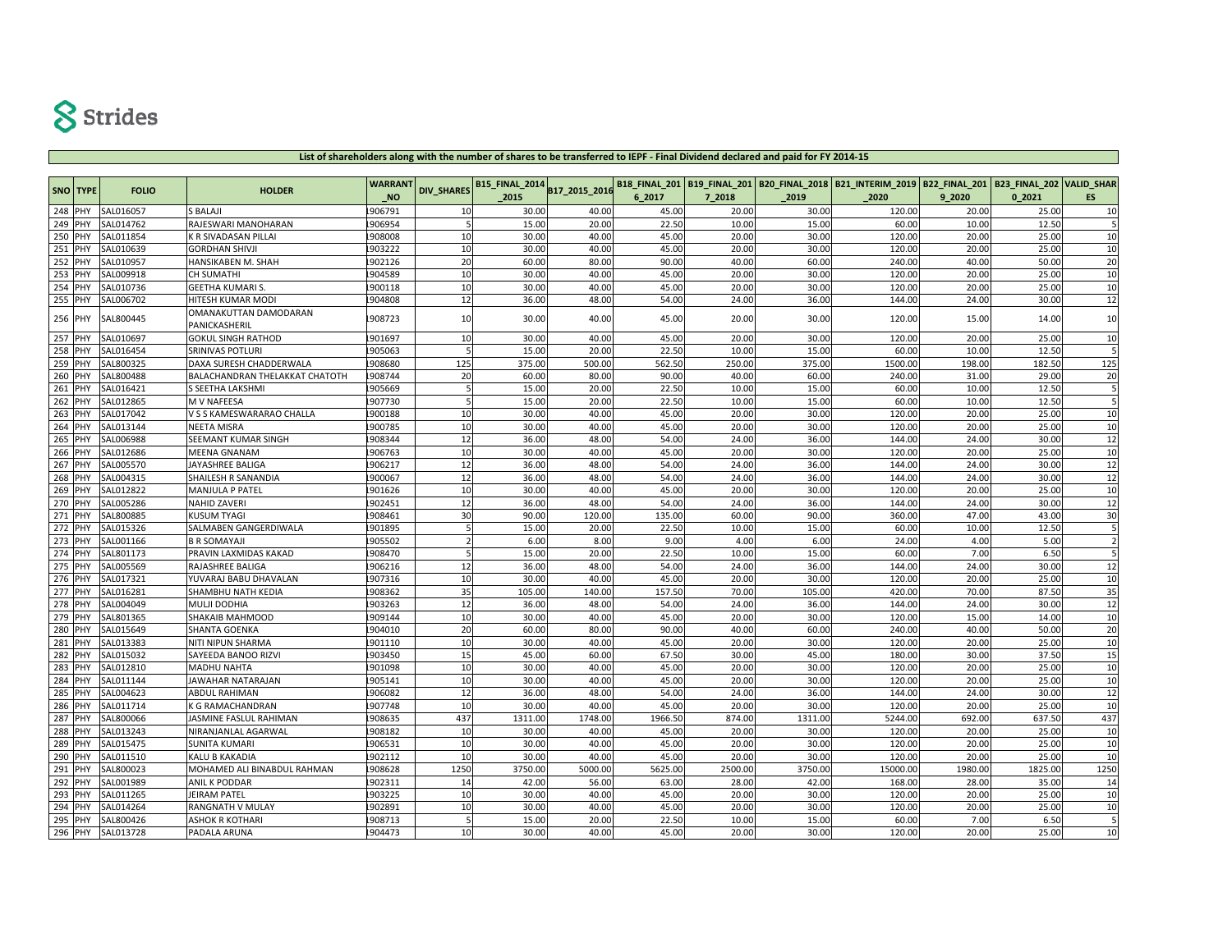|     |                |              | List of shareholders along with the humber or shares to be transferred to left - Final Dividend actial cu and paid for Fi ZOI+-13 |                |                   |                                      |         |         |         |         |                                                                                                    |            |         |           |
|-----|----------------|--------------|-----------------------------------------------------------------------------------------------------------------------------------|----------------|-------------------|--------------------------------------|---------|---------|---------|---------|----------------------------------------------------------------------------------------------------|------------|---------|-----------|
|     |                |              |                                                                                                                                   | <b>WARRANT</b> |                   |                                      |         |         |         |         | B18 FINAL 201 B19 FINAL 201 B20 FINAL 2018 B21 INTERIM 2019 B22 FINAL 201 B23 FINAL 202 VALID SHAR |            |         |           |
|     | SNO TYPE       | <b>FOLIO</b> | <b>HOLDER</b>                                                                                                                     | <b>NO</b>      | <b>DIV SHARES</b> | B15_FINAL_2014 B17_2015_2016<br>2015 |         | 6_2017  | 7_2018  | $2019$  | 2020                                                                                               | $9 - 2020$ | 02021   | <b>ES</b> |
|     | 248 PHY        | SAL016057    | S BALAJI                                                                                                                          | 906791         | 10                | 30.00                                | 40.00   | 45.00   | 20.00   | 30.00   | 120.00                                                                                             | 20.00      | 25.00   | 10        |
|     | 249 PHY        | SAL014762    | RAJESWARI MANOHARAN                                                                                                               | 906954         | 5                 | 15.00                                | 20.00   | 22.50   | 10.00   | 15.00   | 60.00                                                                                              | 10.00      | 12.50   |           |
|     | 250 PHY        | SAL011854    | K R SIVADASAN PILLAI                                                                                                              | 1908008        | 10                | 30.00                                | 40.00   | 45.00   | 20.00   | 30.00   | 120.00                                                                                             | 20.00      | 25.00   | 10        |
|     | 251 PHY        | SAL010639    | <b>GORDHAN SHIVJI</b>                                                                                                             | 903222         | 10                | 30.00                                | 40.00   | 45.00   | 20.00   | 30.00   | 120.00                                                                                             | 20.00      | 25.00   | 10        |
|     | 252 PHY        | SAL010957    | HANSIKABEN M. SHAH                                                                                                                | 902126         | 20                | 60.00                                | 80.00   | 90.00   | 40.00   | 60.00   | 240.00                                                                                             | 40.00      | 50.00   | 20        |
|     | 253 PHY        | SAL009918    | CH SUMATHI                                                                                                                        | 904589         | 10                | 30.00                                | 40.00   | 45.00   | 20.00   | 30.00   | 120.00                                                                                             | 20.00      | 25.00   | 10        |
|     | 254 PHY        | SAL010736    | <b>GEETHA KUMARI S.</b>                                                                                                           | 900118         | 10                | 30.00                                | 40.00   | 45.00   | 20.00   | 30.00   | 120.00                                                                                             | 20.00      | 25.00   | 10        |
|     | 255 PHY        | SAL006702    | HITESH KUMAR MODI                                                                                                                 | 904808         | 12                | 36.00                                | 48.00   | 54.00   | 24.00   | 36.00   | 144.00                                                                                             | 24.00      | 30.00   | 12        |
|     |                |              | OMANAKUTTAN DAMODARAN                                                                                                             |                |                   |                                      |         |         |         |         |                                                                                                    |            |         |           |
|     | 256 PHY        | SAL800445    | PANICKASHERIL                                                                                                                     | 908723         | 10                | 30.00                                | 40.00   | 45.00   | 20.00   | 30.00   | 120.00                                                                                             | 15.00      | 14.00   | 10        |
|     | <b>257 PHY</b> | SAL010697    | <b>GOKUL SINGH RATHOD</b>                                                                                                         | 1901697        | 10                | 30.00                                | 40.00   | 45.00   | 20.00   | 30.00   | 120.00                                                                                             | 20.00      | 25.00   | 10        |
|     | 258 PHY        | SAL016454    | <b>SRINIVAS POTLURI</b>                                                                                                           | 905063         | 5                 | 15.00                                | 20.00   | 22.50   | 10.00   | 15.00   | 60.00                                                                                              | 10.00      | 12.50   |           |
|     | 259 PHY        | SAL800325    | DAXA SURESH CHADDERWALA                                                                                                           | 1908680        | 125               | 375.00                               | 500.00  | 562.50  | 250.00  | 375.00  | 1500.00                                                                                            | 198.00     | 182.50  | 125       |
|     | 260 PHY        | SAL800488    | BALACHANDRAN THELAKKAT CHATOTH                                                                                                    | 908744         | 20                | 60.00                                | 80.00   | 90.00   | 40.00   | 60.00   | 240.00                                                                                             | 31.00      | 29.00   | 20        |
|     | 261 PHY        | SAL016421    | S SEETHA LAKSHMI                                                                                                                  | 905669         |                   | 15.00                                | 20.00   | 22.50   | 10.00   | 15.00   | 60.00                                                                                              | 10.00      | 12.50   |           |
| 262 | <b>PHY</b>     | SAL012865    | M V NAFEESA                                                                                                                       | 907730         |                   | 15.00                                | 20.00   | 22.50   | 10.00   | 15.00   | 60.00                                                                                              | 10.00      | 12.50   |           |
|     | 263 PHY        | SAL017042    | V S S KAMESWARARAO CHALLA                                                                                                         | 1900188        | 10                | 30.00                                | 40.00   | 45.00   | 20.00   | 30.00   | 120.00                                                                                             | 20.00      | 25.00   | 10        |
|     | 264 PHY        | SAL013144    | <b>NEETA MISRA</b>                                                                                                                | 900785         | 10                | 30.00                                | 40.00   | 45.00   | 20.00   | 30.00   | 120.00                                                                                             | 20.00      | 25.00   | 10        |
|     | 265 PHY        | SAL006988    | SEEMANT KUMAR SINGH                                                                                                               | 908344         | 12                | 36.00                                | 48.00   | 54.00   | 24.00   | 36.00   | 144.00                                                                                             | 24.00      | 30.00   | 12        |
|     | 266 PHY        | SAL012686    | <b>MEENA GNANAM</b>                                                                                                               | 906763         | 10                | 30.00                                | 40.00   | 45.00   | 20.00   | 30.00   | 120.00                                                                                             | 20.00      | 25.00   | 10        |
|     | 267 PHY        | SAL005570    | JAYASHREE BALIGA                                                                                                                  | 1906217        | 12                | 36.00                                | 48.00   | 54.00   | 24.00   | 36.00   | 144.00                                                                                             | 24.00      | 30.00   | 12        |
|     | 268 PHY        | SAL004315    | SHAILESH R SANANDIA                                                                                                               | 900067         | 12                | 36.00                                | 48.00   | 54.00   | 24.00   | 36.00   | 144.00                                                                                             | 24.00      | 30.00   | 12        |
|     | 269 PHY        | SAL012822    | MANJULA P PATEL                                                                                                                   | 901626         | 10                | 30.00                                | 40.00   | 45.00   | 20.00   | 30.00   | 120.00                                                                                             | 20.00      | 25.00   | 10        |
|     | 270 PHY        | SAL005286    | NAHID ZAVERI                                                                                                                      | 902451         | 12                | 36.00                                | 48.00   | 54.00   | 24.00   | 36.00   | 144.00                                                                                             | 24.00      | 30.00   | 12        |
|     | 271 PHY        | SAL800885    | <b>KUSUM TYAGI</b>                                                                                                                | 1908461        | 30                | 90.00                                | 120.00  | 135.00  | 60.00   | 90.00   | 360.00                                                                                             | 47.00      | 43.00   | 30        |
|     | 272 PHY        | SAL015326    | SALMABEN GANGERDIWALA                                                                                                             | 901895         |                   | 15.00                                | 20.00   | 22.50   | 10.00   | 15.00   | 60.00                                                                                              | 10.00      | 12.50   |           |
|     | 273 PHY        | SAL001166    | <b>B R SOMAYAJI</b>                                                                                                               | 905502         |                   | 6.00                                 | 8.00    | 9.00    | 4.00    | 6.00    | 24.00                                                                                              | 4.00       | 5.00    |           |
|     | 274 PHY        | SAL801173    | PRAVIN LAXMIDAS KAKAD                                                                                                             | 908470         |                   | 15.00                                | 20.00   | 22.50   | 10.00   | 15.00   | 60.00                                                                                              | 7.00       | 6.50    |           |
|     | 275 PHY        | SAL005569    | RAJASHREE BALIGA                                                                                                                  | 906216         | 12                | 36.00                                | 48.00   | 54.00   | 24.00   | 36.00   | 144.00                                                                                             | 24.00      | 30.00   | 12        |
|     | 276 PHY        | SAL017321    | YUVARAJ BABU DHAVALAN                                                                                                             | 907316         | 10                | 30.00                                | 40.00   | 45.00   | 20.00   | 30.00   | 120.00                                                                                             | 20.00      | 25.00   | 10        |
|     | 277 PHY        | SAL016281    | SHAMBHU NATH KEDIA                                                                                                                | 908362         | 35                | 105.00                               | 140.00  | 157.50  | 70.00   | 105.00  | 420.00                                                                                             | 70.00      | 87.50   | 35        |
|     | 278 PHY        | SAL004049    | MULJI DODHIA                                                                                                                      | 903263         | 12                | 36.00                                | 48.00   | 54.00   | 24.00   | 36.00   | 144.00                                                                                             | 24.00      | 30.00   | 12        |
|     | 279 PHY        | SAL801365    | <b>SHAKAIB MAHMOOD</b>                                                                                                            | 909144         | 10                | 30.00                                | 40.00   | 45.00   | 20.00   | 30.00   | 120.00                                                                                             | 15.00      | 14.00   | 10        |
|     | 280 PHY        | SAL015649    | SHANTA GOENKA                                                                                                                     | 904010         | 20                | 60.00                                | 80.00   | 90.00   | 40.00   | 60.00   | 240.00                                                                                             | 40.00      | 50.00   | 20        |
|     | 281 PHY        | SAL013383    | NITI NIPUN SHARMA                                                                                                                 | 901110         | 10                | 30.00                                | 40.00   | 45.00   | 20.00   | 30.00   | 120.00                                                                                             | 20.00      | 25.00   | 10        |
|     | 282 PHY        | SAL015032    | SAYEEDA BANOO RIZVI                                                                                                               | 903450         | 15                | 45.00                                | 60.00   | 67.50   | 30.00   | 45.00   | 180.00                                                                                             | 30.00      | 37.50   | 15        |
|     | 283 PHY        | SAL012810    | <b>MADHU NAHTA</b>                                                                                                                | 901098         | 10                | 30.00                                | 40.00   | 45.00   | 20.00   | 30.00   | 120.00                                                                                             | 20.00      | 25.00   | 10        |
|     | 284 PHY        | SAL011144    | JAWAHAR NATARAJAN                                                                                                                 | 905141         | 10                | 30.00                                | 40.00   | 45.00   | 20.00   | 30.00   | 120.00                                                                                             | 20.00      | 25.00   | 10        |
|     | 285 PHY        | SAL004623    | <b>ABDUL RAHIMAN</b>                                                                                                              | 906082         | 12                | 36.00                                | 48.00   | 54.00   | 24.00   | 36.00   | 144.00                                                                                             | 24.00      | 30.00   | 12        |
|     | 286 PHY        | SAL011714    | K G RAMACHANDRAN                                                                                                                  | 907748         | 10                | 30.00                                | 40.00   | 45.00   | 20.00   | 30.00   | 120.00                                                                                             | 20.00      | 25.00   | 10        |
|     | 287 PHY        | SAL800066    | IASMINE FASLUL RAHIMAN                                                                                                            | 1908635        | 437               | 1311.00                              | 1748.00 | 1966.50 | 874.00  | 1311.00 | 5244.00                                                                                            | 692.00     | 637.50  | 437       |
|     | 288 PHY        | SAL013243    | NIRANJANLAL AGARWAL                                                                                                               | 908182         | 10                | 30.00                                | 40.00   | 45.00   | 20.00   | 30.00   | 120.00                                                                                             | 20.00      | 25.00   | 10        |
|     | 289 PHY        | SAL015475    | <b>SUNITA KUMARI</b>                                                                                                              | 1906531        | 10                | 30.00                                | 40.00   | 45.00   | 20.00   | 30.00   | 120.00                                                                                             | 20.00      | 25.00   | 10        |
|     | 290 PHY        | SAL011510    | KALU B KAKADIA                                                                                                                    | 902112         | 10                | 30.00                                | 40.00   | 45.00   | 20.00   | 30.00   | 120.00                                                                                             | 20.00      | 25.00   | 10        |
|     | 291 PHY        | SAL800023    | MOHAMED ALI BINABDUL RAHMAN                                                                                                       | 908628         | 1250              | 3750.00                              | 5000.00 | 5625.00 | 2500.00 | 3750.00 | 15000.00                                                                                           | 1980.00    | 1825.00 | 1250      |
|     | 292 PHY        | SAL001989    | ANIL K PODDAR                                                                                                                     | 902311         | 14                | 42.00                                | 56.00   | 63.00   | 28.00   | 42.00   | 168.00                                                                                             | 28.00      | 35.00   | 14        |
|     | 293 PHY        | SAL011265    | <b>JEIRAM PATEL</b>                                                                                                               | 903225         | 10                | 30.00                                | 40.00   | 45.00   | 20.00   | 30.00   | 120.00                                                                                             | 20.00      | 25.00   | 10        |
|     | 294 PHY        | SAL014264    | RANGNATH V MULAY                                                                                                                  | 902891         | 10                | 30.00                                | 40.00   | 45.00   | 20.00   | 30.00   | 120.00                                                                                             | 20.00      | 25.00   | 10        |
|     | 295 PHY        | SAL800426    | <b>ASHOK R KOTHARI</b>                                                                                                            | 908713         |                   | 15.00                                | 20.00   | 22.50   | 10.00   | 15.00   | 60.00                                                                                              | 7.00       | 6.50    |           |
|     | 296 PHY        | SAL013728    | PADALA ARUNA                                                                                                                      | 904473         | 10                | 30.00                                | 40.00   | 45.00   | 20.00   | 30.00   | 120.00                                                                                             | 20.00      | 25.00   | 10        |

**List of shareholders**ed to JEPE - Final Dividend declared and naid for EV 2014-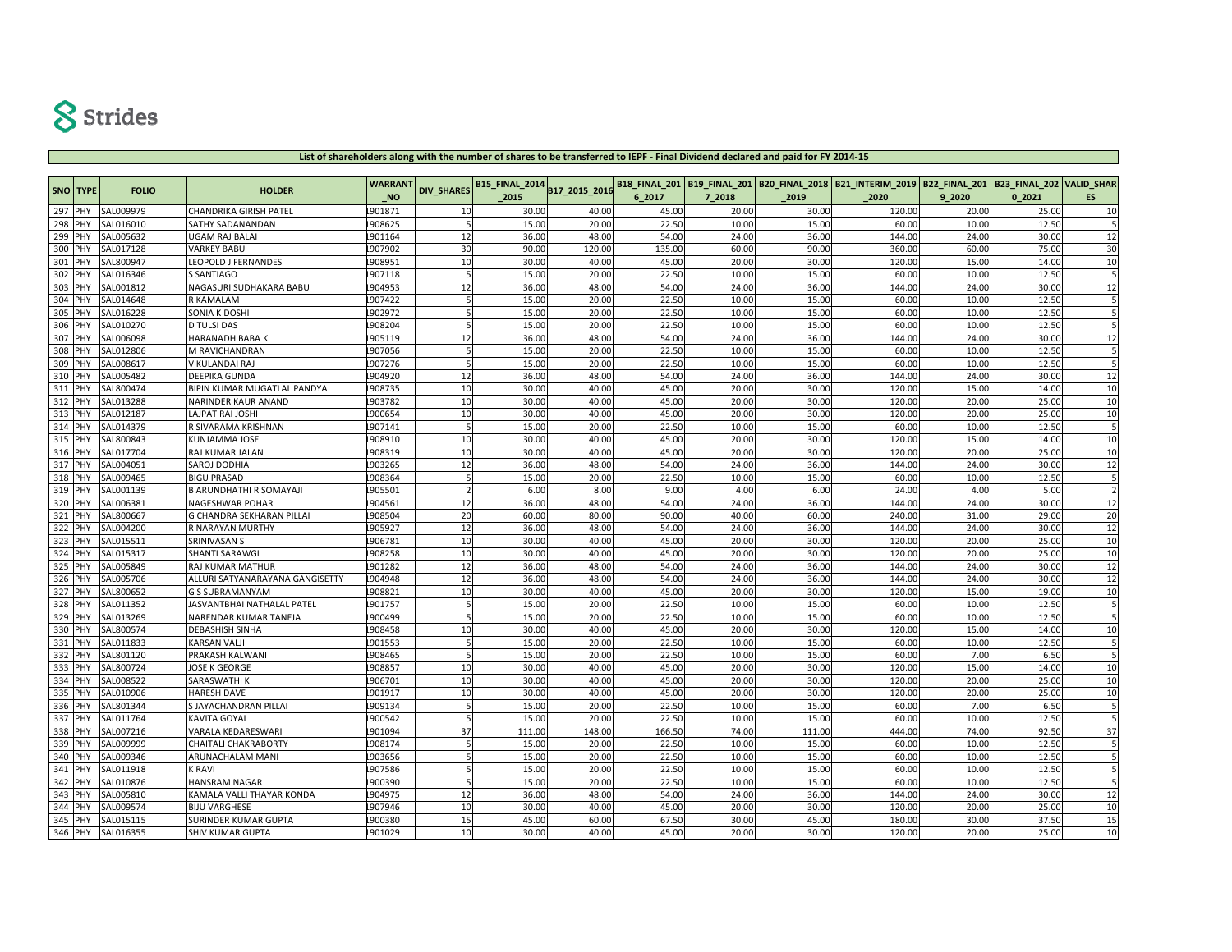346 PHY SAL016355

5 **SHIV KUMAR GUPTA** 

|     | SNO TYPE | <b>FOLIO</b> | <b>HOLDER</b>                   | <b>WARRANT</b><br><b>NO</b> | <b>DIV SHARES</b> | B15_FINAL_2014 B17_2015_2016<br>2015 |        | 6 2017 | 7 2018 | $-2019$ | B18 FINAL 201 B19 FINAL 201 B20 FINAL 2018 B21 INTERIM 2019 B22 FINAL 201 B23 FINAL 202 VALID SHAR<br>2020 | 9 2020 | 02021 | ES. |
|-----|----------|--------------|---------------------------------|-----------------------------|-------------------|--------------------------------------|--------|--------|--------|---------|------------------------------------------------------------------------------------------------------------|--------|-------|-----|
| 297 | PHY      | SAL009979    | CHANDRIKA GIRISH PATEL          | 901871                      | 10                | 30.00                                | 40.00  | 45.00  | 20.00  | 30.00   | 120.00                                                                                                     | 20.00  | 25.00 | 10  |
| 298 | PHY      | SAL016010    | SATHY SADANANDAN                | 1908625                     |                   | 15.00                                | 20.00  | 22.50  | 10.00  | 15.00   | 60.00                                                                                                      | 10.00  | 12.50 |     |
| 299 | PHY      | SAL005632    | <b>UGAM RAJ BALAI</b>           | 1901164                     | 12                | 36.00                                | 48.00  | 54.00  | 24.00  | 36.00   | 144.00                                                                                                     | 24.00  | 30.00 | 12  |
| 300 | PHY      | SAL017128    | <b>VARKEY BABU</b>              | 1907902                     | 30                | 90.00                                | 120.00 | 135.00 | 60.00  | 90.00   | 360.00                                                                                                     | 60.00  | 75.00 | 30  |
| 301 | PHY      | SAL800947    | LEOPOLD J FERNANDES             | 1908951                     | 10                | 30.00                                | 40.00  | 45.00  | 20.00  | 30.00   | 120.00                                                                                                     | 15.00  | 14.00 | 10  |
| 302 | PHY      | SAL016346    | S SANTIAGO                      | 907118                      |                   | 15.00                                | 20.00  | 22.50  | 10.00  | 15.00   | 60.00                                                                                                      | 10.00  | 12.50 |     |
| 303 | PHY      | SAL001812    | NAGASURI SUDHAKARA BABU         | 1904953                     | 12                | 36.00                                | 48.00  | 54.00  | 24.00  | 36.00   | 144.00                                                                                                     | 24.00  | 30.00 | 12  |
| 304 | PHY      | SAL014648    | R KAMALAM                       | 1907422                     |                   | 15.00                                | 20.00  | 22.50  | 10.00  | 15.00   | 60.00                                                                                                      | 10.00  | 12.50 |     |
| 305 | PHY      | SAL016228    | SONIA K DOSHI                   | 1902972                     |                   | 15.00                                | 20.00  | 22.50  | 10.00  | 15.00   | 60.00                                                                                                      | 10.00  | 12.50 |     |
| 306 | PHY      | SAL010270    | <b>D TULSI DAS</b>              | 1908204                     |                   | 15.00                                | 20.00  | 22.50  | 10.00  | 15.00   | 60.00                                                                                                      | 10.00  | 12.50 |     |
| 307 | PHY      | SAL006098    | HARANADH BABA K                 | 1905119                     | 12                | 36.00                                | 48.00  | 54.00  | 24.00  | 36.00   | 144.00                                                                                                     | 24.00  | 30.00 | 12  |
| 308 | PHY      | SAL012806    | M RAVICHANDRAN                  | 907056                      |                   | 15.00                                | 20.00  | 22.50  | 10.00  | 15.00   | 60.00                                                                                                      | 10.00  | 12.50 |     |
| 309 | PHY      | SAL008617    | V KULANDAI RAJ                  | 1907276                     |                   | 15.00                                | 20.00  | 22.50  | 10.00  | 15.00   | 60.00                                                                                                      | 10.00  | 12.50 |     |
| 310 | PHY      | SAL005482    | <b>DEEPIKA GUNDA</b>            | 1904920                     | 12                | 36.00                                | 48.00  | 54.00  | 24.00  | 36.00   | 144.00                                                                                                     | 24.00  | 30.00 | 12  |
| 311 | PHY      | SAL800474    | BIPIN KUMAR MUGATLAL PANDYA     | 1908735                     | 10                | 30.00                                | 40.00  | 45.00  | 20.00  | 30.00   | 120.00                                                                                                     | 15.00  | 14.00 | 10  |
| 312 | PHY      | SAL013288    | NARINDER KAUR ANAND             | 1903782                     | 10                | 30.00                                | 40.00  | 45.00  | 20.00  | 30.00   | 120.00                                                                                                     | 20.00  | 25.00 | 10  |
| 313 | PHY      | SAL012187    | LAJPAT RAI JOSHI                | 900654                      | 10                | 30.00                                | 40.00  | 45.00  | 20.00  | 30.00   | 120.00                                                                                                     | 20.00  | 25.00 | 10  |
| 314 | PHY      | SAL014379    | R SIVARAMA KRISHNAN             | 1907141                     |                   | 15.00                                | 20.00  | 22.50  | 10.00  | 15.00   | 60.00                                                                                                      | 10.00  | 12.50 |     |
| 315 | PHY      | SAL800843    | KUNJAMMA JOSE                   | 1908910                     | 10                | 30.00                                | 40.00  | 45.00  | 20.00  | 30.00   | 120.00                                                                                                     | 15.00  | 14.00 | 10  |
| 316 | PHY      | SAL017704    | RAJ KUMAR JALAN                 | 1908319                     | 10                | 30.00                                | 40.00  | 45.00  | 20.00  | 30.00   | 120.00                                                                                                     | 20.00  | 25.00 | 10  |
| 317 | PHY      | SAL004051    | SAROJ DODHIA                    | 1903265                     | 12                | 36.00                                | 48.00  | 54.00  | 24.00  | 36.00   | 144.00                                                                                                     | 24.00  | 30.00 | 12  |
| 318 | PHY      | SAL009465    | <b>BIGU PRASAD</b>              | 1908364                     |                   | 15.00                                | 20.00  | 22.50  | 10.00  | 15.00   | 60.00                                                                                                      | 10.00  | 12.50 |     |
| 319 | PHY      | SAL001139    | <b>B ARUNDHATHI R SOMAYAJI</b>  | 1905501                     |                   | 6.00                                 | 8.00   | 9.00   | 4.00   | 6.00    | 24.00                                                                                                      | 4.00   | 5.00  |     |
| 320 | PHY      | SAL006381    | NAGESHWAR POHAR                 | 904561                      | 12                | 36.00                                | 48.00  | 54.00  | 24.00  | 36.00   | 144.00                                                                                                     | 24.00  | 30.00 | 12  |
| 321 | PHY      | SAL800667    | G CHANDRA SEKHARAN PILLAI       | 1908504                     | 20                | 60.00                                | 80.00  | 90.00  | 40.00  | 60.00   | 240.00                                                                                                     | 31.00  | 29.00 | 20  |
| 322 | PHY      | SAL004200    | R NARAYAN MURTHY                | 1905927                     | 12                | 36.00                                | 48.00  | 54.00  | 24.00  | 36.00   | 144.00                                                                                                     | 24.00  | 30.00 | 12  |
| 323 | PHY      | SAL015511    | SRINIVASAN S                    | 906781                      | 10                | 30.00                                | 40.00  | 45.00  | 20.00  | 30.00   | 120.00                                                                                                     | 20.00  | 25.00 | 10  |
| 324 | PHY      | SAL015317    | SHANTI SARAWGI                  | 908258                      | 10                | 30.00                                | 40.00  | 45.00  | 20.00  | 30.00   | 120.00                                                                                                     | 20.00  | 25.00 | 10  |
| 325 | PHY      | SAL005849    | RAJ KUMAR MATHUR                | 901282                      | 12                | 36.00                                | 48.00  | 54.00  | 24.00  | 36.00   | 144.00                                                                                                     | 24.00  | 30.00 | 12  |
| 326 | PHY      | SAL005706    | ALLURI SATYANARAYANA GANGISETTY | 1904948                     | 12                | 36.00                                | 48.00  | 54.00  | 24.00  | 36.00   | 144.00                                                                                                     | 24.00  | 30.00 | 12  |
| 327 | PHY      | SAL800652    | G S SUBRAMANYAM                 | 1908821                     | 10                | 30.00                                | 40.00  | 45.00  | 20.00  | 30.00   | 120.00                                                                                                     | 15.00  | 19.00 | 10  |
| 328 | PHY      | SAL011352    | JASVANTBHAI NATHALAL PATEL      | 901757                      |                   | 15.00                                | 20.00  | 22.50  | 10.00  | 15.00   | 60.00                                                                                                      | 10.00  | 12.50 |     |
| 329 | PHY      | SAL013269    | NARENDAR KUMAR TANEJA           | 1900499                     |                   | 15.00                                | 20.00  | 22.50  | 10.00  | 15.00   | 60.00                                                                                                      | 10.00  | 12.50 |     |
| 330 | PHY      | SAL800574    | <b>DEBASHISH SINHA</b>          | 908458                      | 10                | 30.00                                | 40.00  | 45.00  | 20.00  | 30.00   | 120.00                                                                                                     | 15.00  | 14.00 | 10  |
| 331 | PHY      | SAL011833    | <b>KARSAN VALJI</b>             | 1901553                     |                   | 15.00                                | 20.00  | 22.50  | 10.00  | 15.00   | 60.00                                                                                                      | 10.00  | 12.50 |     |
| 332 | PHY      | SAL801120    | PRAKASH KALWANI                 | 1908465                     |                   | 15.00                                | 20.00  | 22.50  | 10.00  | 15.00   | 60.00                                                                                                      | 7.00   | 6.50  |     |
| 333 | PHY      | SAL800724    | <b>JOSE K GEORGE</b>            | 1908857                     | 10                | 30.00                                | 40.00  | 45.00  | 20.00  | 30.00   | 120.00                                                                                                     | 15.00  | 14.00 | 10  |
| 334 | PHY      | SAL008522    | SARASWATHI K                    | 1906701                     | 10                | 30.00                                | 40.00  | 45.00  | 20.00  | 30.00   | 120.00                                                                                                     | 20.00  | 25.00 | 10  |
| 335 | PHY      | SAL010906    | HARESH DAVE                     | 901917                      | 10                | 30.00                                | 40.00  | 45.00  | 20.00  | 30.00   | 120.00                                                                                                     | 20.00  | 25.00 | 10  |
| 336 | PHY      | SAL801344    | S JAYACHANDRAN PILLAI           | 1909134                     |                   | 15.00                                | 20.00  | 22.50  | 10.00  | 15.00   | 60.00                                                                                                      | 7.00   | 6.50  |     |
|     |          |              |                                 |                             |                   |                                      |        |        |        |         |                                                                                                            |        |       |     |
| 337 | PHY      | SAL011764    | <b>KAVITA GOYAL</b>             | 1900542                     |                   | 15.00                                | 20.00  | 22.50  | 10.00  | 15.00   | 60.00                                                                                                      | 10.00  | 12.50 |     |
| 338 | PHY      | SAL007216    | VARALA KEDARESWARI              | 1901094                     | 37                | 111.00                               | 148.00 | 166.50 | 74.00  | 111.00  | 444.00                                                                                                     | 74.00  | 92.50 | 37  |
| 339 | PHY      | SAL009999    | <b>CHAITALI CHAKRABORTY</b>     | 1908174                     |                   | 15.00                                | 20.00  | 22.50  | 10.00  | 15.00   | 60.00                                                                                                      | 10.00  | 12.50 |     |
| 340 | PHY      | SAL009346    | ARUNACHALAM MANI                | 903656                      |                   | 15.00                                | 20.00  | 22.50  | 10.00  | 15.00   | 60.00                                                                                                      | 10.00  | 12.50 |     |
| 341 | PHY      | SAL011918    | <b>K RAVI</b>                   | 1907586                     |                   | 15.00                                | 20.00  | 22.50  | 10.00  | 15.00   | 60.00                                                                                                      | 10.00  | 12.50 |     |
| 342 | PHY      | SAL010876    | HANSRAM NAGAR                   | 1900390                     |                   | 15.00                                | 20.00  | 22.50  | 10.00  | 15.00   | 60.00                                                                                                      | 10.00  | 12.50 |     |
| 343 | PHY      | SAL005810    | KAMALA VALLI THAYAR KONDA       | 1904975                     | 12                | 36.00                                | 48.00  | 54.00  | 24.00  | 36.00   | 144.00                                                                                                     | 24.00  | 30.00 | 12  |
| 344 | PHY      | SAL009574    | <b>BIJU VARGHESE</b>            | 1907946                     | 10                | 30.00                                | 40.00  | 45.00  | 20.00  | 30.00   | 120.00                                                                                                     | 20.00  | 25.00 | 10  |
| 345 | PHY      | SAL015115    | SURINDER KUMAR GUPTA            | 1900380                     | 15                | 45.00                                | 60.00  | 67.50  | 30.00  | 45.00   | 180.00                                                                                                     | 30.00  | 37.50 | 15  |

45.00 10 30.00 40.00 40.00 45.00 45.00 20.00 30.00 120.00 20.00 20.00 25.00 10 45.00 40.00 40.00 20.00 40.00 2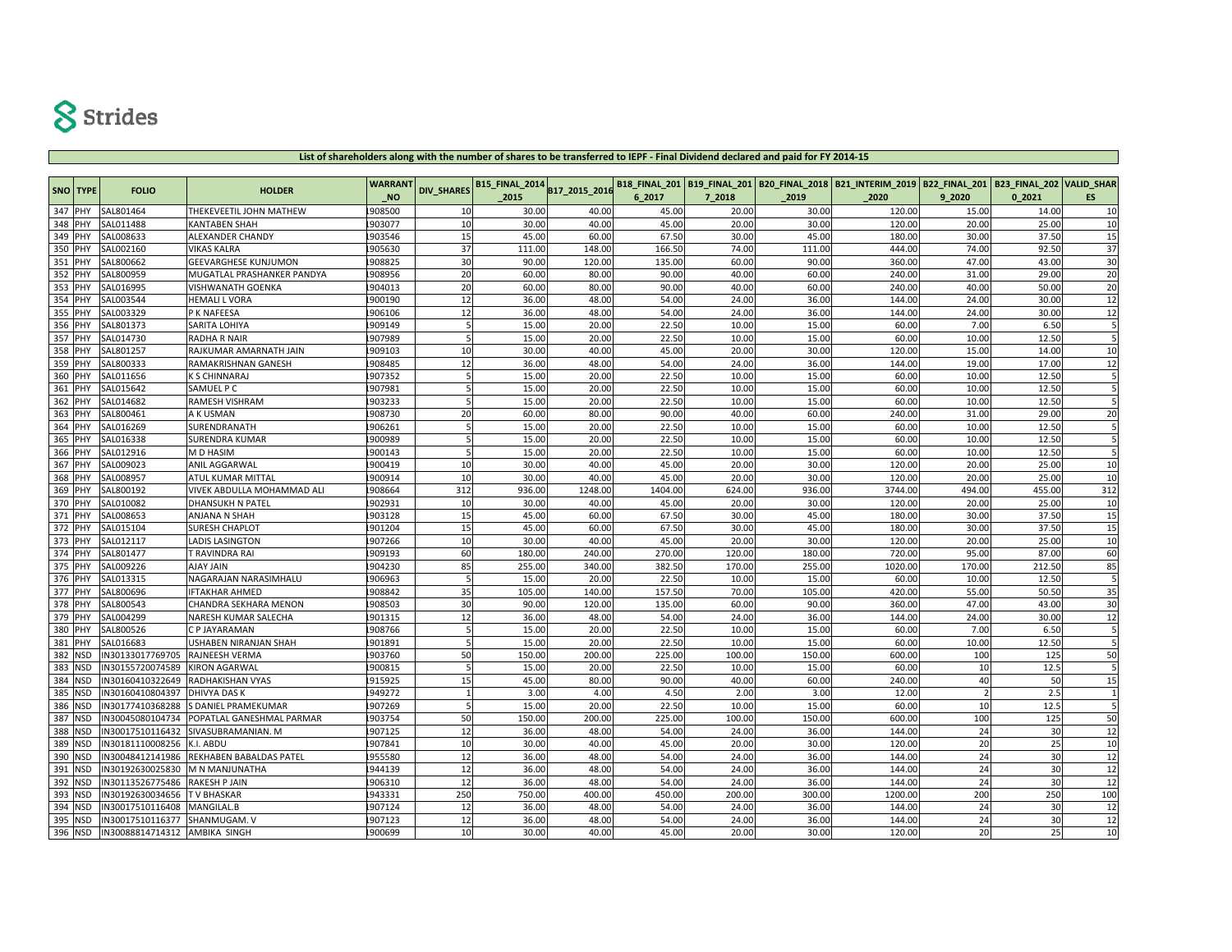|            |                          |                                                                |                                                 | <b>WARRANT</b>    |                   | B15_FINAL_2014 B17_2015_2016 |                 |                 |                 |                 | B18_FINAL_201  B19_FINAL_201  B20_FINAL_2018  B21_INTERIM_2019   B22_FINAL_201   B23_FINAL_202  VALID_SHAR |                 |           |          |
|------------|--------------------------|----------------------------------------------------------------|-------------------------------------------------|-------------------|-------------------|------------------------------|-----------------|-----------------|-----------------|-----------------|------------------------------------------------------------------------------------------------------------|-----------------|-----------|----------|
|            | SNO TYPE                 | <b>FOLIO</b>                                                   | <b>HOLDER</b>                                   | <b>NO</b>         | <b>DIV_SHARES</b> | 2015                         |                 | 6_2017          | 7 2018          | 2019            | 2020                                                                                                       | 9 2020          | 02021     | ES.      |
| 347        | PHY                      | SAL801464                                                      | THEKEVEETIL JOHN MATHEW                         | 908500            | 10                | 30.00                        | 40.00           | 45.00           | 20.00           | 30.00           | 120.00                                                                                                     | 15.00           | 14.00     | 10       |
| 348        | PHY                      | SAL011488                                                      | <b>KANTABEN SHAH</b>                            | 1903077           | 10                | 30.00                        | 40.00           | 45.00           | 20.00           | 30.00           | 120.00                                                                                                     | 20.00           | 25.00     | 10       |
| 349        | PHY                      | SAL008633                                                      | ALEXANDER CHANDY                                | 1903546           | 15                | 45.00                        | 60.00           | 67.50           | 30.00           | 45.00           | 180.00                                                                                                     | 30.00           | 37.50     | 15       |
| 350        | PHY                      | SAL002160                                                      | <b>VIKAS KALRA</b>                              | 905630            | 37                | 111.00                       | 148.00          | 166.50          | 74.00           | 111.00          | 444.00                                                                                                     | 74.00           | 92.50     | 37       |
| 351        | PHY                      | SAL800662                                                      | <b>GEEVARGHESE KUNJUMON</b>                     | 1908825           | 30                | 90.00                        | 120.00          | 135.00          | 60.00           | 90.00           | 360.00                                                                                                     | 47.00           | 43.00     | 30       |
| 352        | PHY                      | SAL800959                                                      | MUGATLAL PRASHANKER PANDYA                      | 908956            | 20                | 60.00                        | 80.00           | 90.00           | 40.00           | 60.00           | 240.00                                                                                                     | 31.00           | 29.00     | 20       |
| 353        | PHY                      | SAL016995                                                      | VISHWANATH GOENKA                               | 904013            | 20                | 60.00                        | 80.00           | 90.00           | 40.00           | 60.00           | 240.00                                                                                                     | 40.00           | 50.00     | 20       |
| 354        | PHY                      | SAL003544                                                      | <b>HEMALI L VORA</b>                            | 1900190           | 12                | 36.00                        | 48.00           | 54.00           | 24.00           | 36.00           | 144.00                                                                                                     | 24.00           | 30.00     | 12       |
| 355        | PHY                      | SAL003329                                                      | P K NAFEESA                                     | 906106            | 12                | 36.00                        | 48.00           | 54.00           | 24.00           | 36.00           | 144.00                                                                                                     | 24.00           | 30.00     | 12       |
| 356        | PHY                      | SAL801373                                                      | SARITA LOHIYA                                   | 1909149           |                   | 15.00                        | 20.00           | 22.50           | 10.00           | 15.00           | 60.00                                                                                                      | 7.00            | 6.50      |          |
| 357        | PHY                      | SAL014730                                                      | <b>RADHA R NAIR</b>                             | 907989            |                   | 15.00                        | 20.00           | 22.50           | 10.00           | 15.00           | 60.00                                                                                                      | 10.00           | 12.50     |          |
| 358        | PHY                      | SAL801257                                                      | RAJKUMAR AMARNATH JAIN                          | 909103            | 10                | 30.00                        | 40.00           | 45.00           | 20.00           | 30.00           | 120.00                                                                                                     | 15.00           | 14.00     | 10       |
| 359        | PHY                      | SAL800333                                                      | RAMAKRISHNAN GANESH                             | 1908485           | 12                | 36.00                        | 48.00           | 54.00           | 24.00           | 36.00           | 144.00                                                                                                     | 19.00           | 17.00     | 12       |
| 360        | PHY                      | SAL011656                                                      | <b>K S CHINNARAJ</b>                            | 907352            |                   | 15.00                        | 20.00           | 22.50           | 10.00           | 15.00           | 60.00                                                                                                      | 10.00           | 12.50     |          |
| 361        | PHY                      | SAL015642                                                      | SAMUEL P C                                      | 1907981           |                   | 15.00                        | 20.00           | 22.50           | 10.00           | 15.00           | 60.00                                                                                                      | 10.00           | 12.50     |          |
| 362        | PHY                      | SAL014682                                                      | RAMESH VISHRAM                                  | 1903233           |                   | 15.00                        | 20.00           | 22.50           | 10.00           | 15.00           | 60.00                                                                                                      | 10.00           | 12.50     |          |
| 363        | PHY                      | SAL800461                                                      | A K USMAN                                       | 908730            | 20                | 60.00                        | 80.00           | 90.00           | 40.00           | 60.00           | 240.00                                                                                                     | 31.00           | 29.00     | 20       |
| 364        | PHY                      | SAL016269                                                      | SURENDRANATH                                    | 1906261           |                   | 15.00                        | 20.00           | 22.50           | 10.00           | 15.00           | 60.00                                                                                                      | 10.00           | 12.50     |          |
| 365        | PHY                      | SAL016338                                                      | <b>SURENDRA KUMAR</b>                           | 900989            |                   | 15.00                        | 20.00           | 22.50           | 10.00           | 15.00           | 60.00                                                                                                      | 10.00           | 12.50     |          |
| 366        | PHY                      | SAL012916                                                      | M D HASIM                                       | 900143            |                   | 15.00                        | 20.00           | 22.50           | 10.00           | 15.00           | 60.00                                                                                                      | 10.00           | 12.50     |          |
| 367        | PHY                      | SAL009023                                                      | ANIL AGGARWAL                                   | 900419            | 10                | 30.00                        | 40.00           | 45.00           | 20.00           | 30.00           | 120.00                                                                                                     | 20.00           | 25.00     | 10       |
| 368        | PHY                      | SAL008957                                                      | ATUL KUMAR MITTAL                               | 900914            | 10                | 30.00                        | 40.00           | 45.00           | 20.00           | 30.00           | 120.00                                                                                                     | 20.00           | 25.00     | 10       |
| 369        | PHY                      | SAL800192                                                      | VIVEK ABDULLA MOHAMMAD ALI                      | 1908664           | 312               | 936.00                       | 1248.00         | 1404.00         | 624.00          | 936.00          | 3744.00                                                                                                    | 494.00          | 455.00    | 312      |
| 370        | PHY                      | SAL010082                                                      | DHANSUKH N PATEL                                | 1902931           | 10                | 30.00                        | 40.00           | 45.00           | 20.00           | 30.00           | 120.00                                                                                                     | 20.00           | 25.00     | 10       |
| 371        | PHY                      | SAL008653                                                      | <b>ANJANA N SHAH</b>                            | 903128            | 15                | 45.00                        | 60.00           | 67.50           | 30.00           | 45.00           | 180.00                                                                                                     | 30.00           | 37.50     | 15       |
| 372        | PHY                      | SAL015104                                                      | <b>SURESH CHAPLOT</b>                           | 1901204           | 15                | 45.00                        | 60.00           | 67.50           | 30.00           | 45.00           | 180.00                                                                                                     | 30.00           | 37.50     | 15       |
| 373        | PHY                      | SAL012117                                                      | <b>LADIS LASINGTON</b>                          | 907266            | 10                | 30.00                        | 40.00           | 45.00           | 20.00           | 30.00           | 120.00                                                                                                     | 20.00           | 25.00     | 10       |
| 374        | PHY                      | SAL801477                                                      |                                                 | 1909193           | 60                | 180.00                       | 240.00          | 270.00          | 120.00          | 180.00          | 720.00                                                                                                     | 95.00           | 87.00     | 60       |
| 375        | PHY                      | SAL009226                                                      | T RAVINDRA RAI<br><b>AJAY JAIN</b>              | 1904230           | 85                | 255.00                       | 340.00          | 382.50          | 170.00          | 255.00          | 1020.00                                                                                                    |                 | 212.50    | 85       |
| 376        | PHY                      | SAL013315                                                      | NAGARAJAN NARASIMHALU                           | 906963            |                   | 15.00                        | 20.00           | 22.50           | 10.00           | 15.00           | 60.00                                                                                                      | 170.00<br>10.00 | 12.50     |          |
| 377        | PHY                      | SAL800696                                                      |                                                 | 1908842           |                   | 105.00                       | 140.00          | 157.50          | 70.00           | 105.00          | 420.00                                                                                                     | 55.00           | 50.50     |          |
| 378        | PHY                      | SAL800543                                                      | <b>IFTAKHAR AHMED</b><br>CHANDRA SEKHARA MENON  |                   | 35<br>30          | 90.00                        | 120.00          | 135.00          | 60.00           | 90.00           | 360.00                                                                                                     | 47.00           | 43.00     | 35<br>30 |
| 379        | PHY                      | SAL004299                                                      |                                                 | 908503<br>1901315 |                   | 36.00                        |                 | 54.00           |                 | 36.00           | 144.00                                                                                                     |                 | 30.00     |          |
| 380        | PHY                      | SAL800526                                                      | NARESH KUMAR SALECHA<br>C P JAYARAMAN           | 1908766           | 12                | 15.00                        | 48.00<br>20.00  | 22.50           | 24.00<br>10.00  | 15.00           | 60.00                                                                                                      | 24.00<br>7.00   | 6.50      | 12       |
| 381        | PHY                      | SAL016683                                                      | USHABEN NIRANJAN SHAH                           | 901891            |                   | 15.00                        | 20.00           | 22.50           | 10.00           | 15.00           | 60.00                                                                                                      | 10.00           | 12.50     |          |
| 382        | <b>NSD</b>               | IN30133017769705                                               | <b>RAJNEESH VERMA</b>                           | 1903760           | 50                | 150.00                       | 200.00          | 225.00          | 100.00          | 150.00          | 600.00                                                                                                     | 100             | 125       | 50       |
| 383        | <b>NSD</b>               | IN30155720074589                                               | <b>KIRON AGARWAL</b>                            | 1900815           |                   | 15.00                        | 20.00           | 22.50           | 10.00           | 15.00           | 60.00                                                                                                      | 10              | 12.5      |          |
| 384        | <b>NSD</b>               | IN30160410322649                                               | RADHAKISHAN VYAS                                | 1915925           | 15                | 45.00                        | 80.00           | 90.00           | 40.00           | 60.0            | 240.00                                                                                                     | 40              | 50        | 15       |
| 385        | <b>NSD</b>               | IN30160410804397                                               | <b>DHIVYA DAS K</b>                             | 949272            |                   | 3.00                         | 4.00            | 4.50            | 2.00            | 3.00            | 12.00                                                                                                      | $\overline{2}$  | 2.5       |          |
| 386        | <b>NSD</b>               | IN30177410368288                                               | S DANIEL PRAMEKUMAR                             | 907269            |                   | 15.00                        | 20.00           | 22.50           | 10.00           | 15.00           | 60.00                                                                                                      | 10              | 12.5      |          |
|            | <b>NSD</b>               |                                                                |                                                 |                   |                   |                              |                 |                 |                 |                 |                                                                                                            |                 |           |          |
| 387<br>388 | <b>NSD</b>               | IN30045080104734<br>IN30017510116432                           | POPATLAL GANESHMAL PARMAR<br>SIVASUBRAMANIAN, M | 1903754<br>907125 | 50<br>12          | 150.00<br>36.00              | 200.00<br>48.00 | 225.00<br>54.00 | 100.00<br>24.00 | 150.00<br>36.00 | 600.00<br>144.00                                                                                           | 100<br>24       | 125<br>30 | 50<br>12 |
| 389        | <b>NSD</b>               | IN30181110008256                                               | K.I. ABDU                                       | 1907841           | 10                | 30.00                        | 40.00           | 45.00           | 20.00           | 30.00           | 120.00                                                                                                     | 20              | 25        | 10       |
| 390        |                          |                                                                |                                                 |                   |                   |                              |                 |                 |                 | 36.00           |                                                                                                            | 24              | 30        | 12       |
| 391        | <b>NSD</b><br><b>NSD</b> | IN30048412141986                                               | REKHABEN BABALDAS PATEL                         | 1955580           | 12<br>12          | 36.00<br>36.00               | 48.00<br>48.00  | 54.00<br>54.00  | 24.00<br>24.00  | 36.00           | 144.00<br>144.00                                                                                           | 24              | 30        | 12       |
|            |                          | N30192630025830 M N MANJUNATHA                                 |                                                 | 1944139           |                   |                              |                 |                 |                 |                 |                                                                                                            |                 |           |          |
| 392        | <b>NSD</b>               | N30113526775486                                                | <b>RAKESH P JAIN</b>                            | 906310            | 12                | 36.00                        | 48.00           | 54.00           | 24.00           | 36.00           | 144.00                                                                                                     | 24              | 30        | 12       |
| 393<br>394 | <b>NSD</b><br><b>NSD</b> | IN30192630034656                                               | <b>TV BHASKAR</b>                               | 1943331           | 250<br>12         | 750.00                       | 400.00          | 450.00<br>54.00 | 200.00<br>24.00 | 300.00<br>36.00 | 1200.00                                                                                                    | 200             | 250<br>30 | 100      |
|            | <b>NSD</b>               | IN30017510116408                                               | <b>MANGILAL.B</b>                               | 907124<br>1907123 |                   | 36.00                        | 48.00           |                 | 24.00           |                 | 144.00                                                                                                     | 24              | 30        | 12<br>12 |
| 395        | 396 NSD                  | IN30017510116377 SHANMUGAM. V<br>IN30088814714312 AMBIKA SINGH |                                                 | 900699            | 12<br>10          | 36.00<br>30.00               | 48.00<br>40.00  | 54.00<br>45.00  | 20.00           | 36.00<br>30.00  | 144.00<br>120.00                                                                                           | 24<br>20        | 25        | 10       |